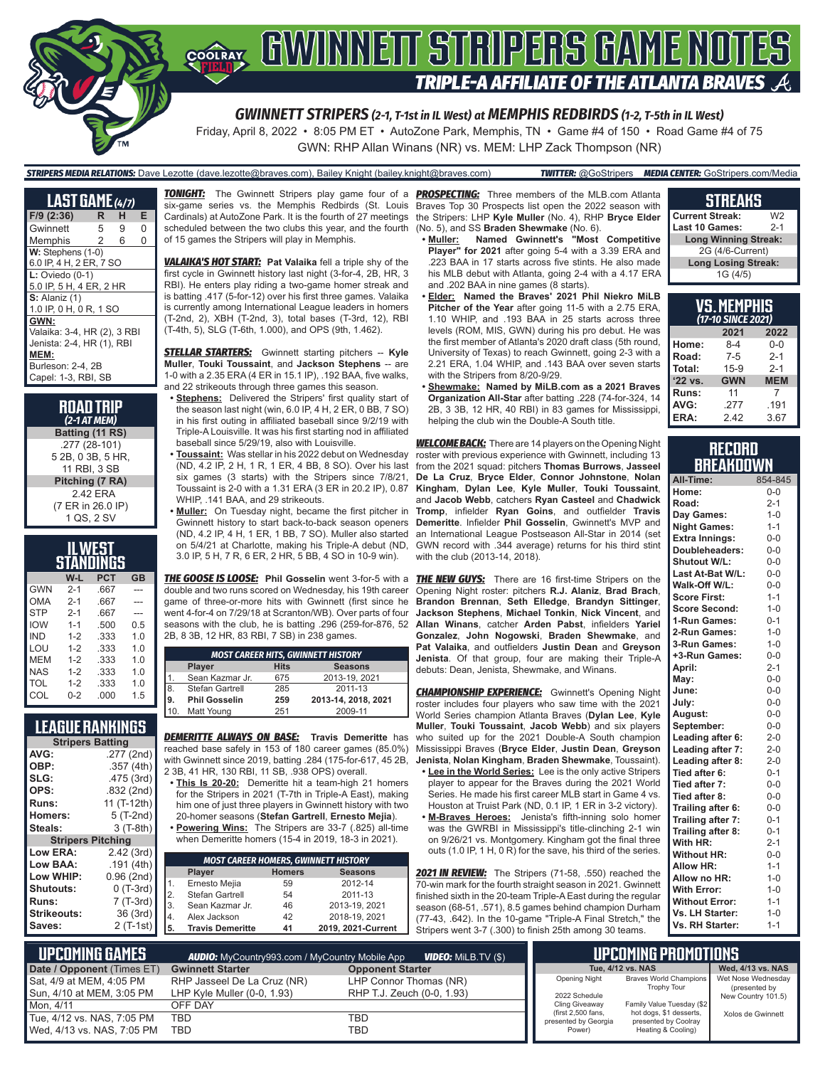

*GWINNETT STRIPERS (2-1, T-1st in IL West) at MEMPHIS REDBIRDS (1-2, T-5th in IL West)*

Friday, April 8, 2022 • 8:05 PM ET • AutoZone Park, Memphis, TN • Game #4 of 150 • Road Game #4 of 75 GWN: RHP Allan Winans (NR) vs. MEM: LHP Zack Thompson (NR)

### *STRIPERS MEDIA RELATIONS:* Dave Lezotte (dave.lezotte@braves.com), Bailey Knight (bailey.knight@braves.com) *TWITTER:* @GoStripers *MEDIA CENTER:* GoStripers.com/Media

**LAST GAME** *(4/7)* **F/9 (2:36) R H E Gwinnett** Memphis 2 6 0 **W:** Stephens (1-0) 6.0 IP, 4 H, 2 ER, 7 SO **L:** Oviedo (0-1) 5.0 IP, 5 H, 4 ER, 2 HR **S:** Alaniz (1) 1.0 IP, 0 H, 0 R, 1 SO **GWN:** Valaika: 3-4, HR (2), 3 RBI Jenista: 2-4, HR (1), RBI **MEM:** Burleson: 2-4, 2B Capel: 1-3, RBI, SB

> **ROAD TRIP** *(2-1 AT MEM)* **Batting (11 RS)** .277 (28-101) 5 2B, 0 3B, 5 HR, 11 RBI, 3 SB **Pitching (7 RA)** 2.42 ERA (7 ER in 26.0 IP) 1 QS, 2 SV

| <b>ILWEST</b>           |         |      |     |  |  |  |  |  |
|-------------------------|---------|------|-----|--|--|--|--|--|
| STANDINGS               |         |      |     |  |  |  |  |  |
| <b>PCT</b><br>W-L<br>GB |         |      |     |  |  |  |  |  |
| <b>GWN</b>              | $2 - 1$ | .667 |     |  |  |  |  |  |
| OMA                     | $2 - 1$ | .667 |     |  |  |  |  |  |
| <b>STP</b>              | $2 - 1$ | .667 |     |  |  |  |  |  |
| <b>IOW</b>              | $1 - 1$ | .500 | 0.5 |  |  |  |  |  |
| IND                     | $1 - 2$ | .333 | 1.0 |  |  |  |  |  |
| LOU                     | $1-2$   | .333 | 1.0 |  |  |  |  |  |
| MEM                     | $1-2$   | .333 | 1.0 |  |  |  |  |  |
| NAS                     | $1 - 2$ | .333 | 1.0 |  |  |  |  |  |
| TOL                     | $1 - 2$ | .333 | 1.0 |  |  |  |  |  |
| COL                     | $0 - 2$ | .000 | 1.5 |  |  |  |  |  |

## **LEAGUE RANKINGS**

| <b>Stripers Batting</b>  |             |
|--------------------------|-------------|
| AVG:                     | .277 (2nd)  |
| OBP:                     | .357 (4th)  |
| SLG:                     | .475 (3rd)  |
| OPS:                     | .832 (2nd)  |
| <b>Runs:</b>             | 11 (T-12th) |
| Homers:                  | 5 (T-2nd)   |
| Steals:                  | $3(T-8th)$  |
| <b>Stripers Pitching</b> |             |
| <b>Low ERA:</b>          | 2.42(3rd)   |
| Low BAA:                 | .191(4th)   |
| Low WHIP:                | 0.96 (2nd)  |
| <b>Shutouts:</b>         | $0(T-3rd)$  |
| Runs:                    | 7 (T-3rd)   |
| <b>Strikeouts:</b>       | 36 (3rd)    |
| Saves:                   | 2 (T-1st)   |

scheduled between the two clubs this year, and the fourth of 15 games the Stripers will play in Memphis.

*VALAIKA'S HOT START:* **Pat Valaika** fell a triple shy of the first cycle in Gwinnett history last night (3-for-4, 2B, HR, 3 RBI). He enters play riding a two-game homer streak and is batting .417 (5-for-12) over his first three games. Valaika is currently among International League leaders in homers (T-2nd, 2), XBH (T-2nd, 3), total bases (T-3rd, 12), RBI (T-4th, 5), SLG (T-6th, 1.000), and OPS (9th, 1.462).

*STELLAR STARTERS:* Gwinnett starting pitchers -- **Kyle Muller**, **Touki Toussaint**, and **Jackson Stephens** -- are 1-0 with a 2.35 ERA (4 ER in 15.1 IP), .192 BAA, five walks, and 22 strikeouts through three games this season.

**<u>Stephens:</u>** Delivered the Stripers' first quality start of the season last night (win, 6.0 IP, 4 H, 2 ER, 0 BB, 7 SO) in his first outing in affiliated baseball since 9/2/19 with Triple-A Louisville. It was his first starting nod in affiliated baseball since 5/29/19, also with Louisville.

- **• Toussaint:** Was stellar in his 2022 debut on Wednesday (ND, 4.2 IP, 2 H, 1 R, 1 ER, 4 BB, 8 SO). Over his last six games (3 starts) with the Stripers since 7/8/21, Toussaint is 2-0 with a 1.31 ERA (3 ER in 20.2 IP), 0.87 WHIP, .141 BAA, and 29 strikeouts.
- **• Muller:** On Tuesday night, became the first pitcher in Gwinnett history to start back-to-back season openers (ND, 4.2 IP, 4 H, 1 ER, 1 BB, 7 SO). Muller also started on 5/4/21 at Charlotte, making his Triple-A debut (ND, 3.0 IP, 5 H, 7 R, 6 ER, 2 HR, 5 BB, 4 SO in 10-9 win).

*THE GOOSE IS LOOSE:* **Phil Gosselin** went 3-for-5 with a double and two runs scored on Wednesday, his 19th career game of three-or-more hits with Gwinnett (first since he went 4-for-4 on 7/29/18 at Scranton/WB). Over parts of four seasons with the club, he is batting .296 (259-for-876, 52 2B, 8 3B, 12 HR, 83 RBI, 7 SB) in 238 games.

|     | <b>MOST CAREER HITS, GWINNETT HISTORY</b> |     |                     |  |  |  |  |  |  |
|-----|-------------------------------------------|-----|---------------------|--|--|--|--|--|--|
|     | <b>Seasons</b><br><b>Hits</b><br>Player   |     |                     |  |  |  |  |  |  |
|     | Sean Kazmar Jr.                           | 675 | 2013-19, 2021       |  |  |  |  |  |  |
| 8.  | Stefan Gartrell                           | 285 | 2011-13             |  |  |  |  |  |  |
| 19. | <b>Phil Gosselin</b>                      | 259 | 2013-14, 2018, 2021 |  |  |  |  |  |  |
| 110 | Matt Young                                | 251 | 2009-11             |  |  |  |  |  |  |

*DEMERITTE ALWAYS ON BASE:* **Travis Demeritte** has reached base safely in 153 of 180 career games (85.0%) with Gwinnett since 2019, batting .284 (175-for-617, 45 2B, 2 3B, 41 HR, 130 RBI, 11 SB, .938 OPS) overall.

- **• This Is 20-20:** Demeritte hit a team-high 21 homers for the Stripers in 2021 (T-7th in Triple-A East), making him one of just three players in Gwinnett history with two 20-homer seasons (**Stefan Gartrell**, **Ernesto Mejia**).
- **• Powering Wins:** The Stripers are 33-7 (.825) all-time when Demeritte homers (15-4 in 2019, 18-3 in 2021).

|     | <b>MOST CAREER HOMERS, GWINNETT HISTORY</b> |    |                    |  |  |  |  |  |  |  |
|-----|---------------------------------------------|----|--------------------|--|--|--|--|--|--|--|
|     | <b>Seasons</b><br>Player<br><b>Homers</b>   |    |                    |  |  |  |  |  |  |  |
| I1. | Ernesto Mejia                               | 59 | 2012-14            |  |  |  |  |  |  |  |
| 2.  | Stefan Gartrell                             | 54 | 2011-13            |  |  |  |  |  |  |  |
| lз. | Sean Kazmar Jr.                             | 46 | 2013-19, 2021      |  |  |  |  |  |  |  |
| I4. | Alex Jackson                                | 42 | 2018-19, 2021      |  |  |  |  |  |  |  |
| 15. | <b>Travis Demeritte</b>                     | 41 | 2019, 2021-Current |  |  |  |  |  |  |  |

*TONIGHT:* The Gwinnett Stripers play game four of a *PROSPECTING:* Three members of the MLB.com Atlanta six-game series vs. the Memphis Redbirds (St. Louis Braves Top 30 Prospects list open the 2022 season with Cardinals) at AutoZone Park. It is the fourth of 27 meetings the Stripers: LHP **Kyle Muller** (No. 4), RHP **Bryce Elder** (No. 5), and SS **Braden Shewmake** (No. 6).

- **• Muller: Named Gwinnett's "Most Competitive Player" for 2021** after going 5-4 with a 3.39 ERA and .223 BAA in 17 starts across five stints. He also made his MLB debut with Atlanta, going 2-4 with a 4.17 ERA and .202 BAA in nine games (8 starts).
- **• Elder: Named the Braves' 2021 Phil Niekro MiLB Pitcher of the Year** after going 11-5 with a 2.75 ERA, 1.10 WHIP, and .193 BAA in 25 starts across three levels (ROM, MIS, GWN) during his pro debut. He was the first member of Atlanta's 2020 draft class (5th round, University of Texas) to reach Gwinnett, going 2-3 with a 2.21 ERA, 1.04 WHIP, and .143 BAA over seven starts with the Stripers from 8/20-9/29.
- **• Shewmake: Named by MiLB.com as a 2021 Braves Organization All-Star** after batting .228 (74-for-324, 14 2B, 3 3B, 12 HR, 40 RBI) in 83 games for Mississippi, helping the club win the Double-A South title.

*WELCOME BACK:* There are 14 players on the Opening Night roster with previous experience with Gwinnett, including 13 from the 2021 squad: pitchers **Thomas Burrows**, **Jasseel De La Cruz**, **Bryce Elder**, **Connor Johnstone**, **Nolan Kingham**, **Dylan Lee**, **Kyle Muller**, **Touki Toussaint**, and **Jacob Webb**, catchers **Ryan Casteel** and **Chadwick Tromp**, infielder **Ryan Goins**, and outfielder **Travis Demeritte**. Infielder **Phil Gosselin**, Gwinnett's MVP and an International League Postseason All-Star in 2014 (set GWN record with .344 average) returns for his third stint with the club (2013-14, 2018).

**THE NEW GUYS:** There are 16 first-time Stripers on the Opening Night roster: pitchers **R.J. Alaniz**, **Brad Brach**, **Brandon Brennan**, **Seth Elledge**, **Brandyn Sittinger**, **Jackson Stephens**, **Michael Tonkin**, **Nick Vincent**, and **Allan Winans**, catcher **Arden Pabst**, infielders **Yariel Gonzalez**, **John Nogowski**, **Braden Shewmake**, and **Pat Valaika**, and outfielders **Justin Dean** and **Greyson Jenista**. Of that group, four are making their Triple-A debuts: Dean, Jenista, Shewmake, and Winans.

**CHAMPIONSHIP EXPERIENCE:** Gwinnett's Opening Night roster includes four players who saw time with the 2021 World Series champion Atlanta Braves (**Dylan Lee**, **Kyle Muller**, **Touki Toussaint**, **Jacob Webb**) and six players who suited up for the 2021 Double-A South champion Mississippi Braves (**Bryce Elder**, **Justin Dean**, **Greyson Jenista**, **Nolan Kingham**, **Braden Shewmake**, Toussaint).

- **• Lee in the World Series:** Lee is the only active Stripers player to appear for the Braves during the 2021 World Series. He made his first career MLB start in Game 4 vs. Houston at Truist Park (ND, 0.1 IP, 1 ER in 3-2 victory).
- **• M-Braves Heroes:** Jenista's fifth-inning solo homer was the GWRBI in Mississippi's title-clinching 2-1 win on 9/26/21 vs. Montgomery. Kingham got the final three outs (1.0 IP, 1 H, 0 R) for the save, his third of the series.

*2021 IN REVIEW:* The Stripers (71-58, .550) reached the 70-win mark for the fourth straight season in 2021. Gwinnett finished sixth in the 20-team Triple-A East during the regular season (68-51, .571), 8.5 games behind champion Durham (77-43, .642). In the 10-game "Triple-A Final Stretch," the Stripers went 3-7 (.300) to finish 25th among 30 teams.

### **STREAKS Current Streak:** W2<br>**Last 10 Games:** 2-1 **Last 10 Games: Long Winning Streak:** 2G (4/6-Current) **Long Losing Streak:** 1G (4/5)

| <u>VS. MEMPHIS</u><br>(17-10 SINCE 2 <u>021)</u> |            |            |  |  |  |  |  |  |  |
|--------------------------------------------------|------------|------------|--|--|--|--|--|--|--|
| 2022<br>2021                                     |            |            |  |  |  |  |  |  |  |
| Home:                                            | $8 - 4$    | $0 - 0$    |  |  |  |  |  |  |  |
| Road:                                            | $7-5$      | $2 - 1$    |  |  |  |  |  |  |  |
| $15-9$<br>Total:<br>$2 - 1$                      |            |            |  |  |  |  |  |  |  |
| '22 vs.                                          | <b>GWN</b> | <b>MEM</b> |  |  |  |  |  |  |  |
| Runs:                                            | 11         | 7          |  |  |  |  |  |  |  |
| .191<br>AVG:<br>.277                             |            |            |  |  |  |  |  |  |  |
| ERA:                                             | 242        | 3.67       |  |  |  |  |  |  |  |

## **RECORD BREAKDOWN**

| All-Time:             | 854-845 |
|-----------------------|---------|
| Home:                 | $0-0$   |
| Road:                 | $2 - 1$ |
| Day Games:            | $1 - 0$ |
| <b>Night Games:</b>   | $1 - 1$ |
| <b>Extra Innings:</b> | $0 - 0$ |
| Doubleheaders:        | $0 - 0$ |
| Shutout W/L:          | $0 - 0$ |
| Last At-Bat W/L:      | $0 - 0$ |
| Walk-Off W/L:         | $0 - 0$ |
| <b>Score First:</b>   | $1 - 1$ |
| <b>Score Second:</b>  | $1 - 0$ |
| 1-Run Games:          | $0 - 1$ |
| 2-Run Games:          | $1 - 0$ |
| 3-Run Games:          | $1 - 0$ |
| +3-Run Games:         | $0 - 0$ |
| April:                | $2 - 1$ |
| May:                  | $0 - 0$ |
| June:                 | $0 - 0$ |
| July:                 | $0 - 0$ |
| August:               | $0-0$   |
| September:            | $0 - 0$ |
| Leading after 6:      | $2 - 0$ |
| Leading after 7:      | $2 - 0$ |
| Leading after 8:      | $2 - 0$ |
| Tied after 6:         | $0 - 1$ |
| Tied after 7:         | $0 - 0$ |
| Tied after 8:         | $0 - 0$ |
| Trailing after 6:     | $0 - 0$ |
| Trailing after 7:     | $0 - 1$ |
| Trailing after 8:     | $0 - 1$ |
| With HR:              | $2 - 1$ |
| <b>Without HR:</b>    | $0 - 0$ |
| <b>Allow HR:</b>      | $1 - 1$ |
| Allow no HR:          | $1 - 0$ |
| <b>With Error:</b>    | $1 - 0$ |
| <b>Without Error:</b> | $1 - 1$ |
| Vs. LH Starter:       | $1 - 0$ |
| Vs. RH Starter:       | $1 - 1$ |

| L UPCOMING GAMES I<br><b>AUDIO:</b> MyCountry993.com / MyCountry Mobile App<br><b>VIDEO:</b> MiLB.TV (\$) |                             |                            |  |  |  |
|-----------------------------------------------------------------------------------------------------------|-----------------------------|----------------------------|--|--|--|
| Date / Opponent (Times ET)                                                                                | <b>Gwinnett Starter</b>     | <b>Opponent Starter</b>    |  |  |  |
| Sat. 4/9 at MEM. 4:05 PM                                                                                  | RHP Jasseel De La Cruz (NR) | LHP Connor Thomas (NR)     |  |  |  |
| Sun, 4/10 at MEM, 3:05 PM                                                                                 | LHP Kyle Muller (0-0, 1.93) | RHP T.J. Zeuch (0-0, 1.93) |  |  |  |
| Mon. 4/11                                                                                                 | OFF DAY                     |                            |  |  |  |
| Tue, 4/12 vs. NAS, 7:05 PM                                                                                | TBD                         | TBD                        |  |  |  |
| Wed, 4/13 vs. NAS, 7:05 PM                                                                                | TBD                         | TBD                        |  |  |  |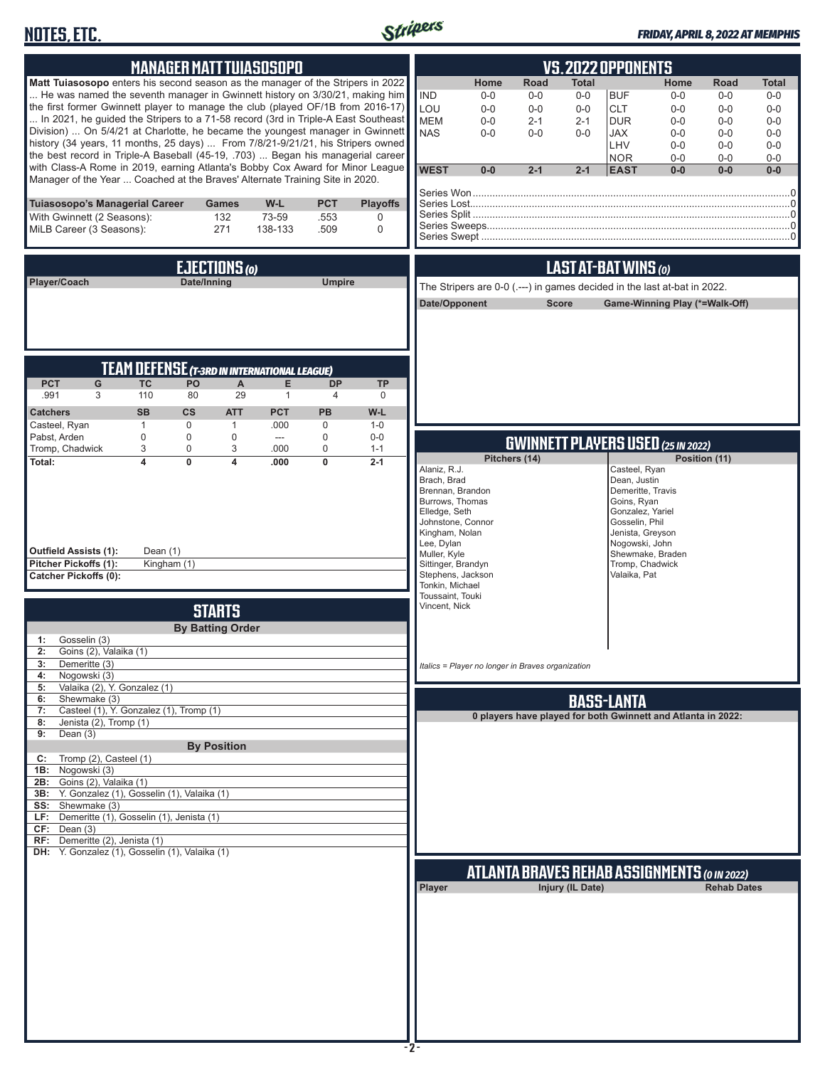# **NOTES, ETC.**



### *FRIDAY, APRIL 8, 2022 AT MEMPHIS*

| <b>MANAGER MATT TUIASOSOPO</b>                                                                                                                                                                                                                                                                                                                                                                                                                                                                                                                                                                                                                                                                                                                                 | <b>VS.2022 OPPONENTS</b>                                                                                                                                                                                                                                                                                                                                                                                                                                                                                                                                                                  |  |  |  |  |  |  |
|----------------------------------------------------------------------------------------------------------------------------------------------------------------------------------------------------------------------------------------------------------------------------------------------------------------------------------------------------------------------------------------------------------------------------------------------------------------------------------------------------------------------------------------------------------------------------------------------------------------------------------------------------------------------------------------------------------------------------------------------------------------|-------------------------------------------------------------------------------------------------------------------------------------------------------------------------------------------------------------------------------------------------------------------------------------------------------------------------------------------------------------------------------------------------------------------------------------------------------------------------------------------------------------------------------------------------------------------------------------------|--|--|--|--|--|--|
| Matt Tuiasosopo enters his second season as the manager of the Stripers in 2022<br>He was named the seventh manager in Gwinnett history on 3/30/21, making him<br>the first former Gwinnett player to manage the club (played OF/1B from 2016-17)<br>In 2021, he guided the Stripers to a 71-58 record (3rd in Triple-A East Southeast<br>Division)  On 5/4/21 at Charlotte, he became the youngest manager in Gwinnett<br>history (34 years, 11 months, 25 days)  From 7/8/21-9/21/21, his Stripers owned<br>the best record in Triple-A Baseball (45-19, .703)  Began his managerial career<br>with Class-A Rome in 2019, earning Atlanta's Bobby Cox Award for Minor League<br>Manager of the Year  Coached at the Braves' Alternate Training Site in 2020. | Home<br><b>Road</b><br><b>Total</b><br>Home<br><b>Road</b><br>Total<br><b>IND</b><br><b>BUF</b><br>$0-0$<br>$0-0$<br>$0-0$<br>$0-0$<br>$0-0$<br>$0-0$<br>LOU<br><b>CLT</b><br>$0-0$<br>$0-0$<br>$0-0$<br>$0-0$<br>$0-0$<br>$0 - 0$<br><b>MEM</b><br>$0-0$<br>$2 - 1$<br>$2 - 1$<br><b>DUR</b><br>$0 - 0$<br>$0-0$<br>$0-0$<br><b>NAS</b><br>$0-0$<br>$0 - 0$<br>$0 - 0$<br><b>JAX</b><br>$0 - 0$<br>$0-0$<br>$0 - 0$<br>LHV<br>$0-0$<br>$0-0$<br>$0-0$<br><b>NOR</b><br>$0-0$<br>$0-0$<br>$0-0$<br><b>WEST</b><br>$0-0$<br>$2 - 1$<br>$2 - 1$<br><b>EAST</b><br>$0 - 0$<br>$0-0$<br>$0-0$ |  |  |  |  |  |  |
| <b>PCT</b><br><b>Playoffs</b><br>Tuiasosopo's Managerial Career<br>W-L<br><b>Games</b><br>With Gwinnett (2 Seasons):<br>73-59<br>132<br>.553<br>0<br>271<br>MiLB Career (3 Seasons):<br>138-133<br>.509<br>0                                                                                                                                                                                                                                                                                                                                                                                                                                                                                                                                                   |                                                                                                                                                                                                                                                                                                                                                                                                                                                                                                                                                                                           |  |  |  |  |  |  |
| EJECTIONS (0)<br>Player/Coach<br>Date/Inning<br><b>Umpire</b>                                                                                                                                                                                                                                                                                                                                                                                                                                                                                                                                                                                                                                                                                                  | LAST AT-BAT WINS (0)<br>The Stripers are 0-0 (.---) in games decided in the last at-bat in 2022.<br>Date/Opponent<br><b>Score</b><br>Game-Winning Play (*=Walk-Off)                                                                                                                                                                                                                                                                                                                                                                                                                       |  |  |  |  |  |  |
| <b>TEAM DEFENSE (T-3RD IN INTERNATIONAL LEAGUE)</b><br><b>PCT</b><br>G<br><b>TC</b><br>PO<br>$\mathsf{A}$<br>E<br><b>DP</b><br><b>TP</b><br>110<br>80<br>29<br>.991<br>3<br>$\mathbf{1}$<br>$\overline{4}$<br>0<br><b>SB</b><br>$\mathsf{cs}$<br><b>PCT</b><br>PB<br><b>Catchers</b><br><b>ATT</b><br>W-L                                                                                                                                                                                                                                                                                                                                                                                                                                                      |                                                                                                                                                                                                                                                                                                                                                                                                                                                                                                                                                                                           |  |  |  |  |  |  |
| Casteel, Ryan<br>$\mathbf{1}$<br>0<br>$\mathbf{1}$<br>.000<br>$\mathbf 0$<br>$1 - 0$<br>Pabst, Arden<br>$\bf 0$<br>0<br>0<br>0<br>$0-0$<br>$\hspace{0.05cm} \ldots$<br>Tromp, Chadwick<br>3<br>0<br>3<br>0<br>.000<br>$1 - 1$<br>$\overline{4}$<br>$\overline{0}$<br>$\overline{0}$<br>Total:<br>4<br>$2 - 1$<br>.000<br><b>Outfield Assists (1):</b><br>Dean $(1)$<br>Pitcher Pickoffs (1):<br>Kingham (1)<br><b>Catcher Pickoffs (0):</b>                                                                                                                                                                                                                                                                                                                    | <b>GWINNETT PLAYERS USED (25 IN 2022)</b><br>Pitchers (14)<br>Position (11)<br>Alaniz, R.J.<br>Casteel, Ryan<br>Brach, Brad<br>Dean, Justin<br>Demeritte, Travis<br>Brennan, Brandon<br>Burrows, Thomas<br>Goins, Ryan<br>Elledge, Seth<br>Gonzalez, Yariel<br>Johnstone, Connor<br>Gosselin, Phil<br>Kingham, Nolan<br>Jenista, Greyson<br>Lee, Dylan<br>Nogowski, John<br>Muller, Kyle<br>Shewmake, Braden<br>Tromp, Chadwick<br>Sittinger, Brandyn<br>Valaika, Pat<br>Stephens, Jackson<br>Tonkin, Michael                                                                             |  |  |  |  |  |  |
| <b>STARTS</b><br><b>By Batting Order</b><br>Gosselin (3)<br>1:<br>2: Goins (2), Valaika (1)<br>3:<br>Demeritte (3)<br>4: Nogowski (3)<br>Valaika (2), Y. Gonzalez (1)<br>5:<br>Shewmake (3)<br>6:<br>Casteel (1), Y. Gonzalez (1), Tromp (1)<br>7:<br>Jenista (2), Tromp (1)<br>8:<br>Dean $(3)$<br>9:<br><b>By Position</b><br>Tromp (2), Casteel (1)<br>C:<br>1B: Nogowski (3)<br>2B: Goins (2), Valaika (1)<br>3B: Y. Gonzalez (1), Gosselin (1), Valaika (1)<br>SS: Shewmake (3)<br>LF: Demeritte (1), Gosselin (1), Jenista (1)                                                                                                                                                                                                                           | Toussaint, Touki<br>Vincent, Nick<br>Italics = Player no longer in Braves organization<br><b>BASS-LANTA</b><br>0 players have played for both Gwinnett and Atlanta in 2022:                                                                                                                                                                                                                                                                                                                                                                                                               |  |  |  |  |  |  |
| CF: Dean(3)<br>RF: Demeritte (2), Jenista (1)<br>DH: Y. Gonzalez (1), Gosselin (1), Valaika (1)                                                                                                                                                                                                                                                                                                                                                                                                                                                                                                                                                                                                                                                                | ATLANTA BRAVES REHAB ASSIGNMENTS (O IN 2022)<br>Injury (IL Date)<br><b>Rehab Dates</b><br>Player                                                                                                                                                                                                                                                                                                                                                                                                                                                                                          |  |  |  |  |  |  |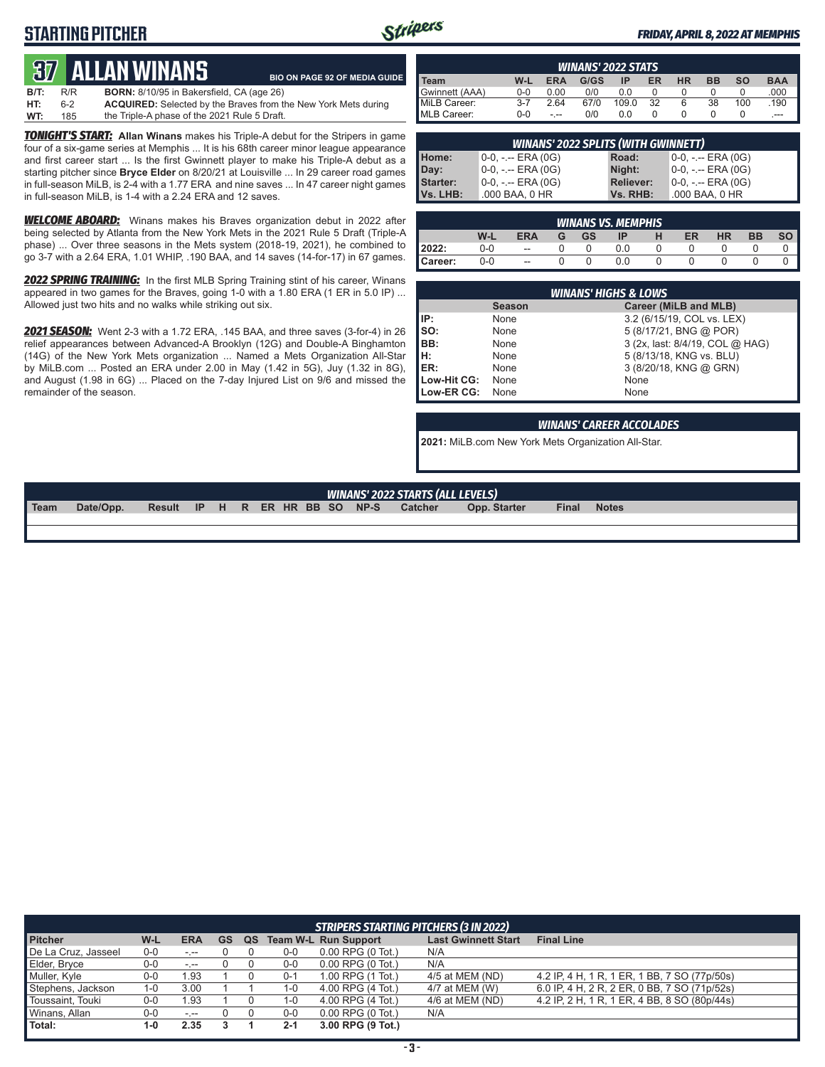# **STARTING PITCHER**



### *FRIDAY, APRIL 8, 2022 AT MEMPHIS*

# **37****Allan Winans**

|      |     | QV ALLAN WINANJ                                  | <b>BIO ON PAGE 92 OF MEDIA GUIDE</b>                                  |
|------|-----|--------------------------------------------------|-----------------------------------------------------------------------|
| B/T: | R/R | <b>BORN:</b> 8/10/95 in Bakersfield, CA (age 26) |                                                                       |
| HT:  | 6-2 |                                                  | <b>ACQUIRED:</b> Selected by the Braves from the New York Mets during |
| WT:  | 185 | the Triple-A phase of the 2021 Rule 5 Draft.     |                                                                       |

*TONIGHT'S START:* **Allan Winans** makes his Triple-A debut for the Stripers in game four of a six-game series at Memphis ... It is his 68th career minor league appearance and first career start ... Is the first Gwinnett player to make his Triple-A debut as a starting pitcher since **Bryce Elder** on 8/20/21 at Louisville ... In 29 career road games in full-season MiLB, is 2-4 with a 1.77 ERA and nine saves ... In 47 career night games in full-season MiLB, is 1-4 with a 2.24 ERA and 12 saves.

*WELCOME ABOARD:* Winans makes his Braves organization debut in 2022 after being selected by Atlanta from the New York Mets in the 2021 Rule 5 Draft (Triple-A phase) ... Over three seasons in the Mets system (2018-19, 2021), he combined to go 3-7 with a 2.64 ERA, 1.01 WHIP, .190 BAA, and 14 saves (14-for-17) in 67 games.

*2022 SPRING TRAINING:* In the first MLB Spring Training stint of his career, Winans appeared in two games for the Braves, going 1-0 with a 1.80 ERA (1 ER in 5.0 IP) ... Allowed just two hits and no walks while striking out six.

*2021 SEASON:* Went 2-3 with a 1.72 ERA, .145 BAA, and three saves (3-for-4) in 26 relief appearances between Advanced-A Brooklyn (12G) and Double-A Binghamton (14G) of the New York Mets organization ... Named a Mets Organization All-Star by MiLB.com ... Posted an ERA under 2.00 in May (1.42 in 5G), Juy (1.32 in 8G), and August (1.98 in 6G) ... Placed on the 7-day Injured List on 9/6 and missed the remainder of the season.

| <b>WINANS' 2022 STATS</b>                                                                          |         |      |      |       |    |   |    |     |       |
|----------------------------------------------------------------------------------------------------|---------|------|------|-------|----|---|----|-----|-------|
| W-L<br><b>HR</b><br><b>BAA</b><br>ER<br>G/GS<br><b>BB</b><br><b>SO</b><br><b>ERA</b><br>ΙP<br>Team |         |      |      |       |    |   |    |     |       |
| Gwinnett (AAA)                                                                                     | $0 - 0$ | 0.00 | 0/0  | 0.0   |    |   |    |     | .000  |
| MiLB Career:                                                                                       | $3 - 7$ | 2.64 | 67/0 | 109.0 | 32 | 6 | 38 | 100 | .190  |
| <b>IMLB Career:</b>                                                                                | 0-0     | - -- | 0/0  | 0.0   |    |   |    |     | $---$ |

| <b>WINANS' 2022 SPLITS (WITH GWINNETT)</b>          |                       |                  |                     |  |  |  |  |  |
|-----------------------------------------------------|-----------------------|------------------|---------------------|--|--|--|--|--|
| 10-0, -.-- ERA (0G)<br>$0-0, - -$ ERA (0G)<br>Road: |                       |                  |                     |  |  |  |  |  |
| Home:<br>Day:<br>Starter:                           | $0-0, - -$ ERA (0G)   | Night:           | $0-0, - -$ ERA (0G) |  |  |  |  |  |
|                                                     | $0-0, - -$ ERA $(0G)$ | <b>Reliever:</b> | 0-0, -.-- ERA (0G)  |  |  |  |  |  |
| Vs. LHB:                                            | .000 BAA, 0 HR        | Vs. RHB:         | .000 BAA, 0 HR      |  |  |  |  |  |

| <b>WINANS VS. MEMPHIS</b> |       |                          |   |           |     |  |    |           |           |    |
|---------------------------|-------|--------------------------|---|-----------|-----|--|----|-----------|-----------|----|
|                           | W-L   | <b>ERA</b>               | G | <b>GS</b> | IP  |  | ER | <b>HR</b> | <b>BB</b> | SO |
| 2022:                     | $0-0$ | $\overline{\phantom{a}}$ |   |           | 0.0 |  |    |           |           |    |
| Career:                   | $0-0$ | --                       |   |           | 0.0 |  |    |           |           |    |

|             | <b>WINANS' HIGHS &amp; LOWS</b> |                                 |  |  |  |  |  |  |  |  |  |
|-------------|---------------------------------|---------------------------------|--|--|--|--|--|--|--|--|--|
|             | <b>Season</b>                   | Career (MiLB and MLB)           |  |  |  |  |  |  |  |  |  |
| IP:         | None                            | 3.2 (6/15/19, COL vs. LEX)      |  |  |  |  |  |  |  |  |  |
| Iso:        | None                            | 5 (8/17/21, BNG @ POR)          |  |  |  |  |  |  |  |  |  |
| BB:         | None                            | 3 (2x, last: 8/4/19, COL @ HAG) |  |  |  |  |  |  |  |  |  |
| Iн.         | None                            | 5 (8/13/18, KNG vs. BLU)        |  |  |  |  |  |  |  |  |  |
| <b>IER:</b> | None                            | 3 (8/20/18, KNG @ GRN)          |  |  |  |  |  |  |  |  |  |
| Low-Hit CG: | None                            | None                            |  |  |  |  |  |  |  |  |  |
| Low-ER CG:  | None                            | None                            |  |  |  |  |  |  |  |  |  |

### *WINANS' CAREER ACCOLADES*

**2021:** MiLB.com New York Mets Organization All-Star.

### *WINANS' 2022 STARTS (ALL LEVELS)*

**Team Date/Opp. Result IP H R ER HR BB SO NP-S Catcher Opp. Starter Final Notes**

| <b>STRIPERS STARTING PITCHERS (3 IN 2022)</b> |         |                        |           |    |         |                               |                            |                                              |  |  |  |  |
|-----------------------------------------------|---------|------------------------|-----------|----|---------|-------------------------------|----------------------------|----------------------------------------------|--|--|--|--|
| <b>Pitcher</b>                                | W-L     | <b>ERA</b>             | <b>GS</b> | QS |         | <b>Team W-L Run Support</b>   | <b>Last Gwinnett Start</b> | <b>Final Line</b>                            |  |  |  |  |
| De La Cruz, Jasseel                           | $0-0$   | $-1$                   |           |    | $0-0$   | $0.00$ RPG $(0$ Tot.)         | N/A                        |                                              |  |  |  |  |
| Elder, Bryce                                  | $0-0$   | $-1 - 1$               |           |    | $0-0$   | $0.00$ RPG $(0$ Tot.)         | N/A                        |                                              |  |  |  |  |
| Muller, Kyle                                  | $0-0$   | 1.93                   |           |    | $0 - 1$ | 1.00 RPG (1 Tot.)             | 4/5 at MEM (ND)            | 4.2 IP, 4 H, 1 R, 1 ER, 1 BB, 7 SO (77p/50s) |  |  |  |  |
| Stephens, Jackson                             | $1 - 0$ | 3.00                   |           |    | 1-0     | 4.00 RPG (4 Tot.)             | 4/7 at MEM (W)             | 6.0 IP, 4 H, 2 R, 2 ER, 0 BB, 7 SO (71p/52s) |  |  |  |  |
| Toussaint, Touki                              | $0-0$   | 1.93                   |           |    | 1-0     | 4.00 RPG (4 Tot.)             | 4/6 at MEM (ND)            | 4.2 IP, 2 H, 1 R, 1 ER, 4 BB, 8 SO (80p/44s) |  |  |  |  |
| Winans, Allan                                 | 0-0     | $\sim$ , $\sim$ $\sim$ |           |    | $0-0$   | $0.00$ RPG $(0 \text{ Tot.})$ | N/A                        |                                              |  |  |  |  |
| Total:                                        | $1-0$   | 2.35                   |           |    | $2 - 1$ | 3.00 RPG (9 Tot.)             |                            |                                              |  |  |  |  |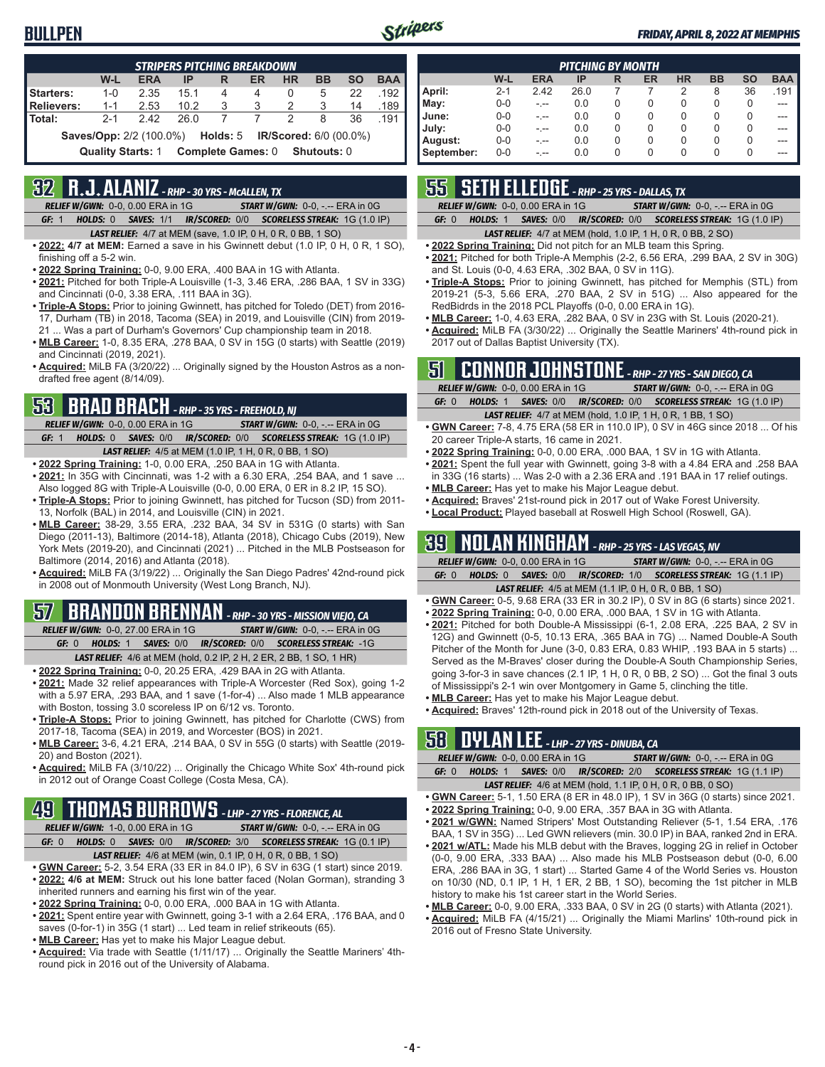## **BULLPEN**



|                   | <b>STRIPERS PITCHING BREAKDOWN</b>                             |            |      |                          |    |           |             |           |            |  |  |  |
|-------------------|----------------------------------------------------------------|------------|------|--------------------------|----|-----------|-------------|-----------|------------|--|--|--|
|                   | W-L                                                            | <b>ERA</b> | ΙP   | R                        | ER | <b>HR</b> | <b>BB</b>   | <b>SO</b> | <b>BAA</b> |  |  |  |
| <b>Starters:</b>  | $1 - 0$                                                        | 2.35       | 15.1 | 4                        | 4  | 0         | 5           | 22        | .192       |  |  |  |
| <b>Relievers:</b> | $1 - 1$                                                        | 2.53       | 10.2 | 3                        | 3  | 2         | 3           | 14        | .189       |  |  |  |
| Total:            | $2 - 1$                                                        | 242        | 26 Q |                          | 7  | 2         | 8           | 36        | .191       |  |  |  |
|                   | <b>Saves/Opp:</b> 2/2 (100.0%) Holds: 5 IR/Scored: 6/0 (00.0%) |            |      |                          |    |           |             |           |            |  |  |  |
|                   | <b>Quality Starts: 1</b>                                       |            |      | <b>Complete Games: 0</b> |    |           | Shutouts: 0 |           |            |  |  |  |

## **32 R.J. ALANIZ** *- RHP - 30 YRS - McALLEN, TX*

*RELIEF W/GWN:*0-0, 0.00 ERA in 1G *START W/GWN:*0-0, -.-- ERA in 0G *GF:*1 *HOLDS:*0 *SAVES:*1/1 *IR/SCORED:*0/0 *SCORELESS STREAK:*1G (1.0 IP)

- *LAST RELIEF:*4/7 at MEM (save, 1.0 IP, 0 H, 0 R, 0 BB, 1 SO)
- **• 2022: 4/7 at MEM:** Earned a save in his Gwinnett debut (1.0 IP, 0 H, 0 R, 1 SO), finishing off a 5-2 win.
- **• 2022 Spring Training:** 0-0, 9.00 ERA, .400 BAA in 1G with Atlanta.
- **• 2021:** Pitched for both Triple-A Louisville (1-3, 3.46 ERA, .286 BAA, 1 SV in 33G) and Cincinnati (0-0, 3.38 ERA, .111 BAA in 3G).
- **• Triple-A Stops:** Prior to joining Gwinnett, has pitched for Toledo (DET) from 2016- 17, Durham (TB) in 2018, Tacoma (SEA) in 2019, and Louisville (CIN) from 2019- 21 ... Was a part of Durham's Governors' Cup championship team in 2018.
- **• MLB Career:** 1-0, 8.35 ERA, .278 BAA, 0 SV in 15G (0 starts) with Seattle (2019) and Cincinnati (2019, 2021).
- **• Acquired:** MiLB FA (3/20/22) ... Originally signed by the Houston Astros as a nondrafted free agent (8/14/09).

# **53 BRAD BRACH** *- RHP - 35 YRS - FREEHOLD, NJ*

*RELIEF W/GWN:*0-0, 0.00 ERA in 1G *START W/GWN:*0-0, -.-- ERA in 0G *GF:*1 *HOLDS:*0 *SAVES:*0/0 *IR/SCORED:*0/0 *SCORELESS STREAK:*1G (1.0 IP) *LAST RELIEF:*4/5 at MEM (1.0 IP, 1 H, 0 R, 0 BB, 1 SO)

- **• 2022 Spring Training:** 1-0, 0.00 ERA, .250 BAA in 1G with Atlanta.
- **• 2021:** In 35G with Cincinnati, was 1-2 with a 6.30 ERA, .254 BAA, and 1 save ... Also logged 8G with Triple-A Louisville (0-0, 0.00 ERA, 0 ER in 8.2 IP, 15 SO).
- **• Triple-A Stops:** Prior to joining Gwinnett, has pitched for Tucson (SD) from 2011- 13, Norfolk (BAL) in 2014, and Louisville (CIN) in 2021.
- **• MLB Career:** 38-29, 3.55 ERA, .232 BAA, 34 SV in 531G (0 starts) with San Diego (2011-13), Baltimore (2014-18), Atlanta (2018), Chicago Cubs (2019), New York Mets (2019-20), and Cincinnati (2021) ... Pitched in the MLB Postseason for Baltimore (2014, 2016) and Atlanta (2018).
- **• Acquired:** MiLB FA (3/19/22) ... Originally the San Diego Padres' 42nd-round pick in 2008 out of Monmouth University (West Long Branch, NJ).

# **57 BRANDON BRENNAN** *- RHP - 30 YRS - MISSION VIEJO, CA*

*RELIEF W/GWN:*0-0, 27.00 ERA in 1G *START W/GWN:*0-0, -.-- ERA in 0G *GF:*0 *HOLDS:*1 *SAVES:*0/0 *IR/SCORED:*0/0 *SCORELESS STREAK:*-1G *LAST RELIEF:*4/6 at MEM (hold, 0.2 IP, 2 H, 2 ER, 2 BB, 1 SO, 1 HR)

- **• 2022 Spring Training:** 0-0, 20.25 ERA, .429 BAA in 2G with Atlanta.
- **• 2021:** Made 32 relief appearances with Triple-A Worcester (Red Sox), going 1-2 with a 5.97 ERA, .293 BAA, and 1 save (1-for-4) ... Also made 1 MLB appearance with Boston, tossing 3.0 scoreless IP on 6/12 vs. Toronto.
- **• Triple-A Stops:** Prior to joining Gwinnett, has pitched for Charlotte (CWS) from 2017-18, Tacoma (SEA) in 2019, and Worcester (BOS) in 2021.
- **• MLB Career:** 3-6, 4.21 ERA, .214 BAA, 0 SV in 55G (0 starts) with Seattle (2019- 20) and Boston (2021).
- **• Acquired:** MiLB FA (3/10/22) ... Originally the Chicago White Sox' 4th-round pick in 2012 out of Orange Coast College (Costa Mesa, CA).

## **49 THOMAS BURROWS** *- LHP - 27 YRS - FLORENCE, AL*

*RELIEF W/GWN:*1-0, 0.00 ERA in 1G *START W/GWN:*0-0, -.-- ERA in 0G *GF:*0 *HOLDS:*0 *SAVES:*0/0 *IR/SCORED:*3/0 *SCORELESS STREAK:*1G (0.1 IP)

- *LAST RELIEF:*4/6 at MEM (win, 0.1 IP, 0 H, 0 R, 0 BB, 1 SO)
- **• GWN Career:** 5-2, 3.54 ERA (33 ER in 84.0 IP), 6 SV in 63G (1 start) since 2019. **• 2022: 4/6 at MEM:** Struck out his lone batter faced (Nolan Gorman), stranding 3 inherited runners and earning his first win of the year.
- **• 2022 Spring Training:** 0-0, 0.00 ERA, .000 BAA in 1G with Atlanta.
- **• 2021:** Spent entire year with Gwinnett, going 3-1 with a 2.64 ERA, .176 BAA, and 0 saves (0-for-1) in 35G (1 start) ... Led team in relief strikeouts (65).
- **• MLB Career:** Has yet to make his Major League debut.
- **• Acquired:** Via trade with Seattle (1/11/17) ... Originally the Seattle Mariners' 4thround pick in 2016 out of the University of Alabama.

|            | <b>PITCHING BY MONTH</b> |            |      |          |    |           |           |           |            |  |  |  |  |
|------------|--------------------------|------------|------|----------|----|-----------|-----------|-----------|------------|--|--|--|--|
|            | W-L                      | <b>ERA</b> | IP   | R        | ER | <b>HR</b> | <b>BB</b> | <b>SO</b> | <b>BAA</b> |  |  |  |  |
| April:     | $2 - 1$                  | 2.42       | 26.0 |          |    | 2         | 8         | 36        | .191       |  |  |  |  |
| May:       | $0-0$                    | - --       | 0.0  | 0        | 0  | 0         | 0         | 0         |            |  |  |  |  |
| June:      | $0 - 0$                  |            | 0.0  | 0        | 0  | 0         | 0         | 0         |            |  |  |  |  |
| July:      | $0 - 0$                  | -.--       | 0.0  | $\Omega$ | 0  | 0         | 0         | 0         |            |  |  |  |  |
| August:    | $0 - 0$                  | -.--       | 0.0  | 0        | 0  | 0         | 0         | 0         | ---        |  |  |  |  |
| September: | $0 - 0$                  | - --       | 0.0  | 0        | 0  | 0         | 0         | 0         | ---        |  |  |  |  |

# **55 SETH ELLEDGE** *- RHP - 25 YRS - DALLAS, TX*

*RELIEF W/GWN:*0-0, 0.00 ERA in 1G *START W/GWN:*0-0, -.-- ERA in 0G

*GF:*0 *HOLDS:*1 *SAVES:*0/0 *IR/SCORED:*0/0 *SCORELESS STREAK:*1G (1.0 IP)

### *LAST RELIEF:*4/7 at MEM (hold, 1.0 IP, 1 H, 0 R, 0 BB, 2 SO)

- **• 2022 Spring Training:** Did not pitch for an MLB team this Spring.
- **• 2021:** Pitched for both Triple-A Memphis (2-2, 6.56 ERA, .299 BAA, 2 SV in 30G) and St. Louis (0-0, 4.63 ERA, .302 BAA, 0 SV in 11G).
- **• Triple-A Stops:** Prior to joining Gwinnett, has pitched for Memphis (STL) from 2019-21 (5-3, 5.66 ERA, .270 BAA, 2 SV in 51G) ... Also appeared for the RedBidrds in the 2018 PCL Playoffs (0-0, 0.00 ERA in 1G).
- **• MLB Career:** 1-0, 4.63 ERA, .282 BAA, 0 SV in 23G with St. Louis (2020-21).
- **• Acquired:** MiLB FA (3/30/22) ... Originally the Seattle Mariners' 4th-round pick in 2017 out of Dallas Baptist University (TX).

## **51 CONNOR JOHNSTONE** *- RHP - 27 YRS - SAN DIEGO, CA*

|       | <b>RELIEF W/GWN: 0-0, 0.00 ERA in 1G</b> | <b>START W/GWN: <math>0-0</math>, -.-- ERA in OG</b>                  |
|-------|------------------------------------------|-----------------------------------------------------------------------|
| GF: 0 |                                          | HOLDS: 1 SAVES: 0/0 IR/SCORED: 0/0 SCORELESS STREAK: 1G (1.0 IP)      |
|       |                                          | <b>LAST RELIEF:</b> $4/7$ at MEM (hold, 1.0 IP, 1 H, 0 R, 1 BB, 1 SO) |

- **• GWN Career:** 7-8, 4.75 ERA (58 ER in 110.0 IP), 0 SV in 46G since 2018 ... Of his 20 career Triple-A starts, 16 came in 2021.
- **• 2022 Spring Training:** 0-0, 0.00 ERA, .000 BAA, 1 SV in 1G with Atlanta.
- **• 2021:** Spent the full year with Gwinnett, going 3-8 with a 4.84 ERA and .258 BAA in 33G (16 starts) ... Was 2-0 with a 2.36 ERA and .191 BAA in 17 relief outings.
- **• MLB Career:** Has yet to make his Major League debut.
- **• Acquired:** Braves' 21st-round pick in 2017 out of Wake Forest University.
- **• Local Product:** Played baseball at Roswell High School (Roswell, GA).

## **39 NOLAN KINGHAM** *- RHP - 25 YRS - LAS VEGAS, NV*

| <b>RELIEF W/GWN: 0-0, 0.00 ERA in 1G</b> |  |  | <b>START W/GWN: 0-0, -.-- ERA in 0G.</b>                                |
|------------------------------------------|--|--|-------------------------------------------------------------------------|
| GF: 0                                    |  |  | <b>HOLDS: 0 SAVES: 0/0 IR/SCORED: 1/0 SCORELESS STREAK: 1G (1.1 IP)</b> |
|                                          |  |  |                                                                         |

- *LAST RELIEF:*4/5 at MEM (1.1 IP, 0 H, 0 R, 0 BB, 1 SO) **• GWN Career:** 0-5, 9.68 ERA (33 ER in 30.2 IP), 0 SV in 8G (6 starts) since 2021.
- **• 2022 Spring Training:** 0-0, 0.00 ERA, .000 BAA, 1 SV in 1G with Atlanta.
- **• 2021:** Pitched for both Double-A Mississippi (6-1, 2.08 ERA, .225 BAA, 2 SV in 12G) and Gwinnett (0-5, 10.13 ERA, .365 BAA in 7G) ... Named Double-A South Pitcher of the Month for June (3-0, 0.83 ERA, 0.83 WHIP, .193 BAA in 5 starts) ... Served as the M-Braves' closer during the Double-A South Championship Series, going 3-for-3 in save chances (2.1 IP, 1 H, 0 R, 0 BB, 2 SO) ... Got the final 3 outs of Mississippi's 2-1 win over Montgomery in Game 5, clinching the title.
- **• MLB Career:** Has yet to make his Major League debut.
- **• Acquired:** Braves' 12th-round pick in 2018 out of the University of Texas.

## **58 DYLAN LEE** *- LHP - 27 YRS - DINUBA, CA*

|       | RELIEF W/GWN: 0-0, 0.00 ERA in 1G |  |                                                                     | <b>START W/GWN: 0-0, -.-- ERA in 0G</b> |  |
|-------|-----------------------------------|--|---------------------------------------------------------------------|-----------------------------------------|--|
| GF: 0 |                                   |  | HOLDS: 1 SAVES: 0/0 IR/SCORED: 2/0 SCORELESS STREAK: 1G (1.1 IP)    |                                         |  |
|       |                                   |  | <b>LAST RELIEF:</b> 4/6 at MEM (hold, 1.1 IP, 0 H, 0 R, 0 BB, 0 SO) |                                         |  |

- **• GWN Career:** 5-1, 1.50 ERA (8 ER in 48.0 IP), 1 SV in 36G (0 starts) since 2021.
- **• 2022 Spring Training:** 0-0, 9.00 ERA, .357 BAA in 3G with Atlanta. **• 2021 w/GWN:** Named Stripers' Most Outstanding Reliever (5-1, 1.54 ERA, .176
- BAA, 1 SV in 35G) ... Led GWN relievers (min. 30.0 IP) in BAA, ranked 2nd in ERA.
- **• 2021 w/ATL:** Made his MLB debut with the Braves, logging 2G in relief in October (0-0, 9.00 ERA, .333 BAA) ... Also made his MLB Postseason debut (0-0, 6.00 ERA, .286 BAA in 3G, 1 start) ... Started Game 4 of the World Series vs. Houston on 10/30 (ND, 0.1 IP, 1 H, 1 ER, 2 BB, 1 SO), becoming the 1st pitcher in MLB history to make his 1st career start in the World Series.
- **• MLB Career:** 0-0, 9.00 ERA, .333 BAA, 0 SV in 2G (0 starts) with Atlanta (2021). **• Acquired:** MiLB FA (4/15/21) ... Originally the Miami Marlins' 10th-round pick in 2016 out of Fresno State University.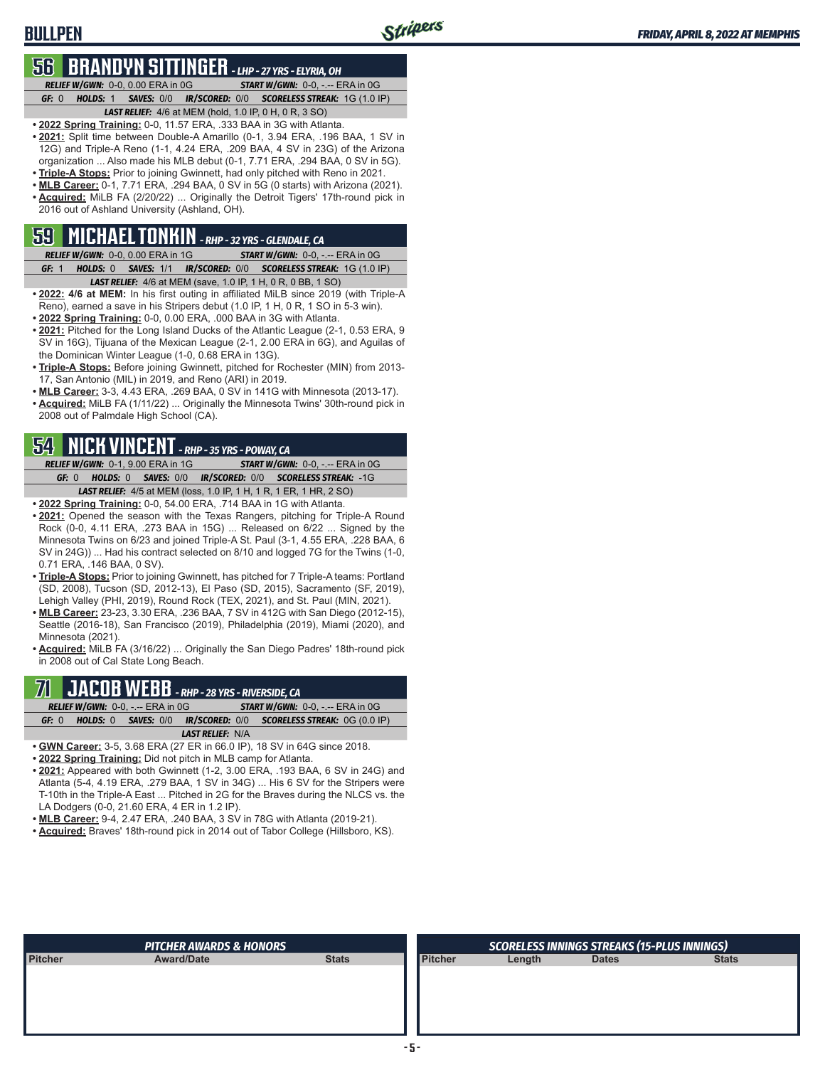## **BULLPEN**

## **56 BRANDYN SITTINGER** *- LHP - 27 YRS - ELYRIA, OH*

*RELIEF W/GWN:*0-0, 0.00 ERA in 0G *START W/GWN:*0-0, -.-- ERA in 0G *GF:*0 *HOLDS:*1 *SAVES:*0/0 *IR/SCORED:*0/0 *SCORELESS STREAK:*1G (1.0 IP) *LAST RELIEF:*4/6 at MEM (hold, 1.0 IP, 0 H, 0 R, 3 SO)

- **• 2022 Spring Training:** 0-0, 11.57 ERA, .333 BAA in 3G with Atlanta.
- **• 2021:** Split time between Double-A Amarillo (0-1, 3.94 ERA, .196 BAA, 1 SV in 12G) and Triple-A Reno (1-1, 4.24 ERA, .209 BAA, 4 SV in 23G) of the Arizona organization ... Also made his MLB debut (0-1, 7.71 ERA, .294 BAA, 0 SV in 5G).
- **• Triple-A Stops:** Prior to joining Gwinnett, had only pitched with Reno in 2021.
- **• MLB Career:** 0-1, 7.71 ERA, .294 BAA, 0 SV in 5G (0 starts) with Arizona (2021). **• Acquired:** MiLB FA (2/20/22) ... Originally the Detroit Tigers' 17th-round pick in 2016 out of Ashland University (Ashland, OH).

## **59 MICHAEL TONKIN** *- RHP - 32 YRS - GLENDALE, CA*

- *RELIEF W/GWN:*0-0, 0.00 ERA in 1G *START W/GWN:*0-0, -.-- ERA in 0G *GF:*1 *HOLDS:*0 *SAVES:*1/1 *IR/SCORED:*0/0 *SCORELESS STREAK:*1G (1.0 IP) *LAST RELIEF:*4/6 at MEM (save, 1.0 IP, 1 H, 0 R, 0 BB, 1 SO)
- **• 2022: 4/6 at MEM:** In his first outing in affiliated MiLB since 2019 (with Triple-A Reno), earned a save in his Stripers debut (1.0 IP, 1 H, 0 R, 1 SO in 5-3 win).
- **• 2022 Spring Training:** 0-0, 0.00 ERA, .000 BAA in 3G with Atlanta.
- **• 2021:** Pitched for the Long Island Ducks of the Atlantic League (2-1, 0.53 ERA, 9 SV in 16G), Tijuana of the Mexican League (2-1, 2.00 ERA in 6G), and Aguilas of the Dominican Winter League (1-0, 0.68 ERA in 13G).
- **• Triple-A Stops:** Before joining Gwinnett, pitched for Rochester (MIN) from 2013- 17, San Antonio (MIL) in 2019, and Reno (ARI) in 2019.
- **• MLB Career:** 3-3, 4.43 ERA, .269 BAA, 0 SV in 141G with Minnesota (2013-17).
- **• Acquired:** MiLB FA (1/11/22) ... Originally the Minnesota Twins' 30th-round pick in 2008 out of Palmdale High School (CA).

## **54 NICK VINCENT** *- RHP - 35 YRS - POWAY, CA*

*RELIEF W/GWN:*0-1, 9.00 ERA in 1G *START W/GWN:*0-0, -.-- ERA in 0G *GF:*0 *HOLDS:*0 *SAVES:*0/0 *IR/SCORED:*0/0 *SCORELESS STREAK:*-1G *LAST RELIEF:*4/5 at MEM (loss, 1.0 IP, 1 H, 1 R, 1 ER, 1 HR, 2 SO)

- **• 2022 Spring Training:** 0-0, 54.00 ERA, .714 BAA in 1G with Atlanta.
- **• 2021:** Opened the season with the Texas Rangers, pitching for Triple-A Round Rock (0-0, 4.11 ERA, .273 BAA in 15G) ... Released on 6/22 ... Signed by the Minnesota Twins on 6/23 and joined Triple-A St. Paul (3-1, 4.55 ERA, .228 BAA, 6 SV in 24G)) ... Had his contract selected on 8/10 and logged 7G for the Twins (1-0, 0.71 ERA, .146 BAA, 0 SV).
- **• Triple-A Stops:** Prior to joining Gwinnett, has pitched for 7 Triple-A teams: Portland (SD, 2008), Tucson (SD, 2012-13), El Paso (SD, 2015), Sacramento (SF, 2019), Lehigh Valley (PHI, 2019), Round Rock (TEX, 2021), and St. Paul (MIN, 2021).
- **• MLB Career:** 23-23, 3.30 ERA, .236 BAA, 7 SV in 412G with San Diego (2012-15), Seattle (2016-18), San Francisco (2019), Philadelphia (2019), Miami (2020), and Minnesota (2021).

**• Acquired:** MiLB FA (3/16/22) ... Originally the San Diego Padres' 18th-round pick in 2008 out of Cal State Long Beach.

## **71 JACOB WEBB** *- RHP - 28 YRS - RIVERSIDE, CA*

|                          | <b>RELIEF W/GWN: 0-0, -.-- ERA in 0G/</b> | <b>START W/GWN: <math>0-0</math>.</b> -.-- ERA in $0G$         |
|--------------------------|-------------------------------------------|----------------------------------------------------------------|
| GF: 0<br><b>HOLDS:</b> 0 |                                           | <b>SAVES:</b> 0/0 IR/SCORED: 0/0 SCORELESS STREAK: 0G (0.0 IP) |
|                          | <b>LAST RELIEF: N/A</b>                   |                                                                |

- **• GWN Career:** 3-5, 3.68 ERA (27 ER in 66.0 IP), 18 SV in 64G since 2018.
- **• 2022 Spring Training:** Did not pitch in MLB camp for Atlanta.
- **• 2021:** Appeared with both Gwinnett (1-2, 3.00 ERA, .193 BAA, 6 SV in 24G) and Atlanta (5-4, 4.19 ERA, .279 BAA, 1 SV in 34G) ... His 6 SV for the Stripers were T-10th in the Triple-A East ... Pitched in 2G for the Braves during the NLCS vs. the LA Dodgers (0-0, 21.60 ERA, 4 ER in 1.2 IP).
- **• MLB Career:** 9-4, 2.47 ERA, .240 BAA, 3 SV in 78G with Atlanta (2019-21).
- **• Acquired:** Braves' 18th-round pick in 2014 out of Tabor College (Hillsboro, KS).

|                | <b>PITCHER AWARDS &amp; HONORS</b> |              |                |        | <b>SCORELESS INNINGS STREAKS (15-PLUS INNINGS)</b> |              |
|----------------|------------------------------------|--------------|----------------|--------|----------------------------------------------------|--------------|
| <b>Pitcher</b> | <b>Award/Date</b>                  | <b>Stats</b> | <b>Pitcher</b> | Length | <b>Dates</b>                                       | <b>Stats</b> |
|                |                                    |              |                |        |                                                    |              |
|                |                                    |              |                |        |                                                    |              |
|                |                                    |              |                |        |                                                    |              |
|                |                                    |              |                |        |                                                    |              |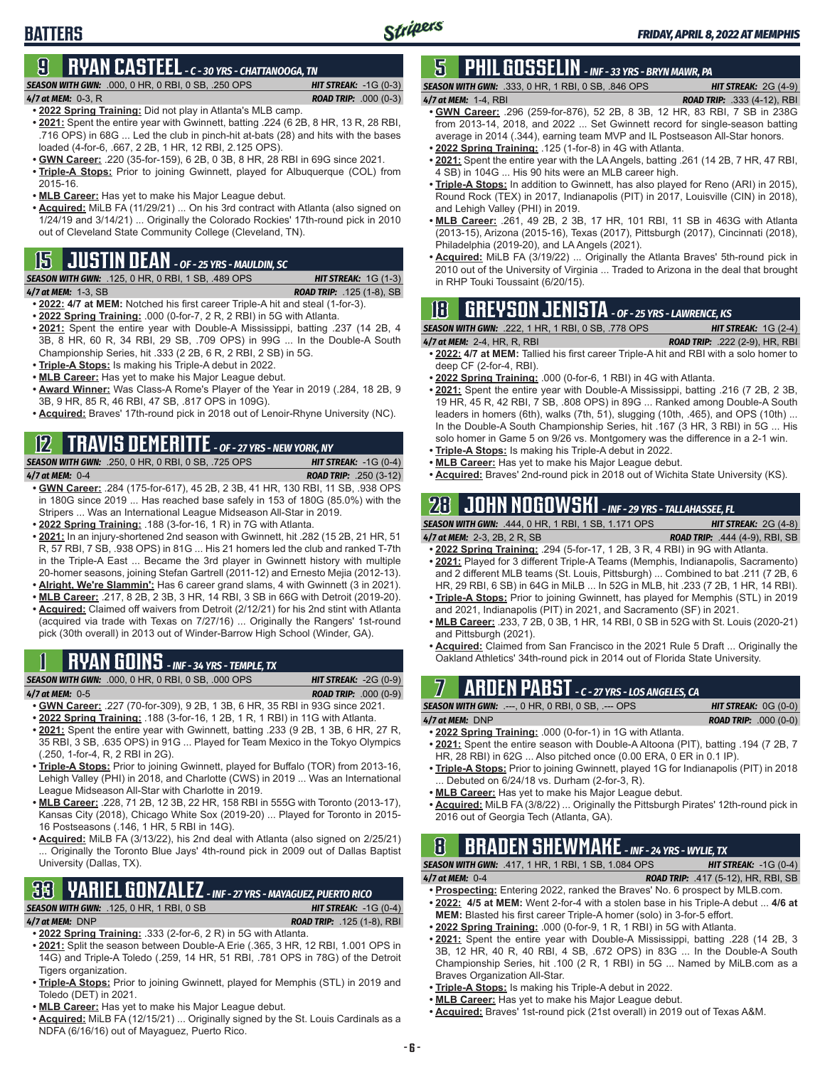# **9 RYAN CASTEEL** *- C - 30 YRS - CHATTANOOGA, TN*

*SEASON WITH GWN:*.000, 0 HR, 0 RBI, 0 SB, .250 OPS *HIT STREAK:* -1G (0-3)

**BATTERS**

*4/7 at MEM:*0-3, R *ROAD TRIP:* .000 (0-3) **• 2022 Spring Training:** Did not play in Atlanta's MLB camp.

- **• 2021:** Spent the entire year with Gwinnett, batting .224 (6 2B, 8 HR, 13 R, 28 RBI, .716 OPS) in 68G ... Led the club in pinch-hit at-bats (28) and hits with the bases loaded (4-for-6, .667, 2 2B, 1 HR, 12 RBI, 2.125 OPS).
- **• GWN Career:** .220 (35-for-159), 6 2B, 0 3B, 8 HR, 28 RBI in 69G since 2021.
- **• Triple-A Stops:** Prior to joining Gwinnett, played for Albuquerque (COL) from 2015-16.
- **• MLB Career:** Has yet to make his Major League debut.
- **• Acquired:** MiLB FA (11/29/21) ... On his 3rd contract with Atlanta (also signed on 1/24/19 and 3/14/21) ... Originally the Colorado Rockies' 17th-round pick in 2010 out of Cleveland State Community College (Cleveland, TN).

# **15 JUSTIN DEAN** *- OF - 25 YRS - MAULDIN, SC*

*SEASON WITH GWN:*.125, 0 HR, 0 RBI, 1 SB, .489 OPS *HIT STREAK:* 1G (1-3)

*4/7 at MEM:*1-3, SB *ROAD TRIP:* .125 (1-8), SB

- **• 2022: 4/7 at MEM:** Notched his first career Triple-A hit and steal (1-for-3).
- **• 2022 Spring Training:** .000 (0-for-7, 2 R, 2 RBI) in 5G with Atlanta. **• 2021:** Spent the entire year with Double-A Mississippi, batting .237 (14 2B, 4 3B, 8 HR, 60 R, 34 RBI, 29 SB, .709 OPS) in 99G ... In the Double-A South Championship Series, hit .333 (2 2B, 6 R, 2 RBI, 2 SB) in 5G.
- **• Triple-A Stops:** Is making his Triple-A debut in 2022.
- **• MLB Career:** Has yet to make his Major League debut.
- **• Award Winner:** Was Class-A Rome's Player of the Year in 2019 (.284, 18 2B, 9 3B, 9 HR, 85 R, 46 RBI, 47 SB, .817 OPS in 109G).
- **• Acquired:** Braves' 17th-round pick in 2018 out of Lenoir-Rhyne University (NC).

# **12 TRAVIS DEMERITTE** *- OF - 27 YRS - NEW YORK, NY*

*SEASON WITH GWN:*.250, 0 HR, 0 RBI, 0 SB, .725 OPS *HIT STREAK:* -1G (0-4)

- *4/7 at MEM:*0-4 *ROAD TRIP:* .250 (3-12) **• GWN Career:** .284 (175-for-617), 45 2B, 2 3B, 41 HR, 130 RBI, 11 SB, .938 OPS in 180G since 2019 ... Has reached base safely in 153 of 180G (85.0%) with the Stripers ... Was an International League Midseason All-Star in 2019.
- **• 2022 Spring Training:** .188 (3-for-16, 1 R) in 7G with Atlanta.
- **• 2021:** In an injury-shortened 2nd season with Gwinnett, hit .282 (15 2B, 21 HR, 51 R, 57 RBI, 7 SB, .938 OPS) in 81G ... His 21 homers led the club and ranked T-7th in the Triple-A East ... Became the 3rd player in Gwinnett history with multiple 20-homer seasons, joining Stefan Gartrell (2011-12) and Ernesto Mejia (2012-13). **• Alright, We're Slammin':** Has 6 career grand slams, 4 with Gwinnett (3 in 2021).
- **• MLB Career:** .217, 8 2B, 2 3B, 3 HR, 14 RBI, 3 SB in 66G with Detroit (2019-20).
- **• Acquired:** Claimed off waivers from Detroit (2/12/21) for his 2nd stint with Atlanta (acquired via trade with Texas on 7/27/16) ... Originally the Rangers' 1st-round pick (30th overall) in 2013 out of Winder-Barrow High School (Winder, GA).

# **1 RYAN GOINS** *- INF - 34 YRS - TEMPLE, TX*

*SEASON WITH GWN:*.000, 0 HR, 0 RBI, 0 SB, .000 OPS *HIT STREAK:* -2G (0-9) *4/7 at MEM:*0-5 *ROAD TRIP:* .000 (0-9)

- **• GWN Career:** .227 (70-for-309), 9 2B, 1 3B, 6 HR, 35 RBI in 93G since 2021. **• 2022 Spring Training:** .188 (3-for-16, 1 2B, 1 R, 1 RBI) in 11G with Atlanta.
- **• 2021:** Spent the entire year with Gwinnett, batting .233 (9 2B, 1 3B, 6 HR, 27 R, 35 RBI, 3 SB, .635 OPS) in 91G ... Played for Team Mexico in the Tokyo Olympics (.250, 1-for-4, R, 2 RBI in 2G).
- **• Triple-A Stops:** Prior to joining Gwinnett, played for Buffalo (TOR) from 2013-16, Lehigh Valley (PHI) in 2018, and Charlotte (CWS) in 2019 ... Was an International League Midseason All-Star with Charlotte in 2019.
- **• MLB Career:** .228, 71 2B, 12 3B, 22 HR, 158 RBI in 555G with Toronto (2013-17), Kansas City (2018), Chicago White Sox (2019-20) ... Played for Toronto in 2015- 16 Postseasons (.146, 1 HR, 5 RBI in 14G).
- **• Acquired:** MiLB FA (3/13/22), his 2nd deal with Atlanta (also signed on 2/25/21) Originally the Toronto Blue Jays' 4th-round pick in 2009 out of Dallas Baptist University (Dallas, TX).

## **33 YARIEL GONZALEZ** *- INF - 27 YRS - MAYAGUEZ, PUERTO RICO SEASON WITH GWN:*.125, 0 HR, 1 RBI, 0 SB *HIT STREAK:* -1G (0-4)

*4/7 at MEM:*DNP *ROAD TRIP:* .125 (1-8), RBI

- **• 2022 Spring Training:** .333 (2-for-6, 2 R) in 5G with Atlanta.
- **• 2021:** Split the season between Double-A Erie (.365, 3 HR, 12 RBI, 1.001 OPS in 14G) and Triple-A Toledo (.259, 14 HR, 51 RBI, .781 OPS in 78G) of the Detroit Tigers organization.
- **• Triple-A Stops:** Prior to joining Gwinnett, played for Memphis (STL) in 2019 and Toledo (DET) in 2021.
- **• MLB Career:** Has yet to make his Major League debut.
- **• Acquired:** MiLB FA (12/15/21) ... Originally signed by the St. Louis Cardinals as a NDFA (6/16/16) out of Mayaguez, Puerto Rico.

# **5 PHIL GOSSELIN** *- INF - 33 YRS - BRYN MAWR, PA*

# *SEASON WITH GWN:*.333, 0 HR, 1 RBI, 0 SB, .846 OPS *HIT STREAK:* 2G (4-9)

*4/7 at MEM:*1-4, RBI *ROAD TRIP:* .333 (4-12), RBI

- **• GWN Career:** .296 (259-for-876), 52 2B, 8 3B, 12 HR, 83 RBI, 7 SB in 238G from 2013-14, 2018, and 2022 ... Set Gwinnett record for single-season batting average in 2014 (.344), earning team MVP and IL Postseason All-Star honors.
- **• 2022 Spring Training:** .125 (1-for-8) in 4G with Atlanta.
- **• 2021:** Spent the entire year with the LA Angels, batting .261 (14 2B, 7 HR, 47 RBI, 4 SB) in 104G ... His 90 hits were an MLB career high.
- **• Triple-A Stops:** In addition to Gwinnett, has also played for Reno (ARI) in 2015), Round Rock (TEX) in 2017, Indianapolis (PIT) in 2017, Louisville (CIN) in 2018), and Lehigh Valley (PHI) in 2019.
- **• MLB Career:** .261, 49 2B, 2 3B, 17 HR, 101 RBI, 11 SB in 463G with Atlanta (2013-15), Arizona (2015-16), Texas (2017), Pittsburgh (2017), Cincinnati (2018), Philadelphia (2019-20), and LA Angels (2021).
- **• Acquired:** MiLB FA (3/19/22) ... Originally the Atlanta Braves' 5th-round pick in 2010 out of the University of Virginia ... Traded to Arizona in the deal that brought in RHP Touki Toussaint (6/20/15).

# **18 GREYSON JENISTA** *- OF - 25 YRS - LAWRENCE, KS*

## *SEASON WITH GWN:*.222, 1 HR, 1 RBI, 0 SB, .778 OPS *HIT STREAK:* 1G (2-4)

*4/7 at MEM:*2-4, HR, R, RBI *ROAD TRIP:* .222 (2-9), HR, RBI **• 2022: 4/7 at MEM:** Tallied his first career Triple-A hit and RBI with a solo homer to

- deep CF (2-for-4, RBI).
- **• 2022 Spring Training:** .000 (0-for-6, 1 RBI) in 4G with Atlanta.
- **• 2021:** Spent the entire year with Double-A Mississippi, batting .216 (7 2B, 2 3B, 19 HR, 45 R, 42 RBI, 7 SB, .808 OPS) in 89G ... Ranked among Double-A South leaders in homers (6th), walks (7th, 51), slugging (10th, .465), and OPS (10th) ... In the Double-A South Championship Series, hit .167 (3 HR, 3 RBI) in 5G ... His solo homer in Game 5 on 9/26 vs. Montgomery was the difference in a 2-1 win.
- **• Triple-A Stops:** Is making his Triple-A debut in 2022.
- **• MLB Career:** Has yet to make his Major League debut.
- **• Acquired:** Braves' 2nd-round pick in 2018 out of Wichita State University (KS).

# **28 JOHN NOGOWSKI** *- INF - 29 YRS - TALLAHASSEE, FL*

*SEASON WITH GWN:*.444, 0 HR, 1 RBI, 1 SB, 1.171 OPS *HIT STREAK:* 2G (4-8) *4/7 at MEM:*2-3, 2B, 2 R, SB *ROAD TRIP:* .444 (4-9), RBI, SB

- **• 2022 Spring Training:** .294 (5-for-17, 1 2B, 3 R, 4 RBI) in 9G with Atlanta. **• 2021:** Played for 3 different Triple-A Teams (Memphis, Indianapolis, Sacramento) and 2 different MLB teams (St. Louis, Pittsburgh) ... Combined to bat .211 (7 2B, 6
- HR, 29 RBI, 6 SB) in 64G in MiLB ... In 52G in MLB, hit .233 (7 2B, 1 HR, 14 RBI). **• Triple-A Stops:** Prior to joining Gwinnett, has played for Memphis (STL) in 2019
- and 2021, Indianapolis (PIT) in 2021, and Sacramento (SF) in 2021. **• MLB Career:** .233, 7 2B, 0 3B, 1 HR, 14 RBI, 0 SB in 52G with St. Louis (2020-21) and Pittsburgh (2021).
- **• Acquired:** Claimed from San Francisco in the 2021 Rule 5 Draft ... Originally the Oakland Athletics' 34th-round pick in 2014 out of Florida State University.

# **7 ARDEN PABST** *- C - 27 YRS - LOS ANGELES, CA*

*SEASON WITH GWN:*.---, 0 HR, 0 RBI, 0 SB, .--- OPS *HIT STREAK:* 0G (0-0) *4/7 at MEM:*DNP *ROAD TRIP:* .000 (0-0)

- **• 2022 Spring Training:** .000 (0-for-1) in 1G with Atlanta. **• 2021:** Spent the entire season with Double-A Altoona (PIT), batting .194 (7 2B, 7
- HR, 28 RBI) in 62G ... Also pitched once (0.00 ERA, 0 ER in 0.1 IP). **• Triple-A Stops:** Prior to joining Gwinnett, played 1G for Indianapolis (PIT) in 2018
- ... Debuted on 6/24/18 vs. Durham (2-for-3, R).
- **• MLB Career:** Has yet to make his Major League debut.
- **• Acquired:** MiLB FA (3/8/22) ... Originally the Pittsburgh Pirates' 12th-round pick in 2016 out of Georgia Tech (Atlanta, GA).

## **8 BRADEN SHEWMAKE** *- INF - 24 YRS - WYLIE, TX SEASON WITH GWN:*.417, 1 HR, 1 RBI, 1 SB, 1.084 OPS *HIT STREAK:* -1G (0-4)

*4/7 at MEM:*0-4 *ROAD TRIP:* .417 (5-12), HR, RBI, SB

- **• Prospecting:** Entering 2022, ranked the Braves' No. 6 prospect by MLB.com.
- **• 2022: 4/5 at MEM:** Went 2-for-4 with a stolen base in his Triple-A debut ... **4/6 at MEM:** Blasted his first career Triple-A homer (solo) in 3-for-5 effort.
- **• 2022 Spring Training:** .000 (0-for-9, 1 R, 1 RBI) in 5G with Atlanta.
- **• 2021:** Spent the entire year with Double-A Mississippi, batting .228 (14 2B, 3 3B, 12 HR, 40 R, 40 RBI, 4 SB, .672 OPS) in 83G ... In the Double-A South Championship Series, hit .100 (2 R, 1 RBI) in 5G ... Named by MiLB.com as a Braves Organization All-Star.
- **• Triple-A Stops:** Is making his Triple-A debut in 2022.
- **• MLB Career:** Has yet to make his Major League debut.
- **• Acquired:** Braves' 1st-round pick (21st overall) in 2019 out of Texas A&M.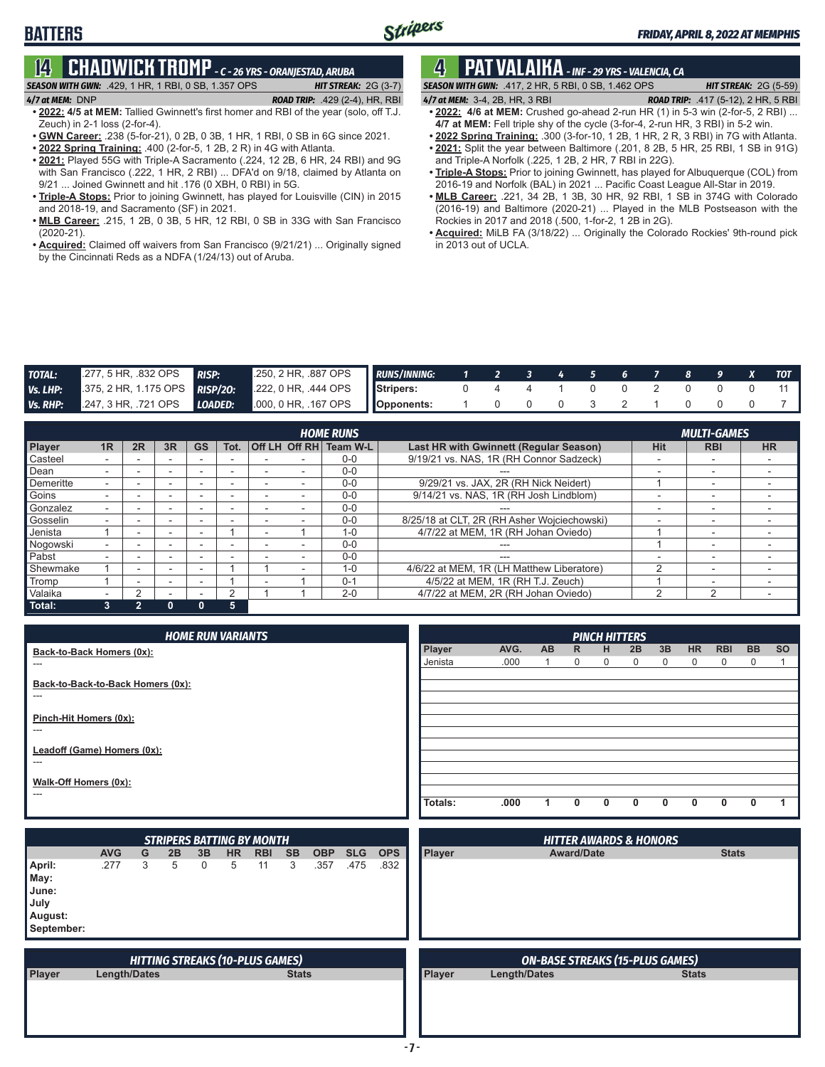# **14 CHADWICK TROMP** *- C - 26 YRS - ORANJESTAD, ARUBA*

# *SEASON WITH GWN:*.429, 1 HR, 1 RBI, 0 SB, 1.357 OPS *HIT STREAK:* 2G (3-7)

**BATTERS**

*4/7 at MEM:*DNP *ROAD TRIP:* .429 (2-4), HR, RBI **• 2022: 4/5 at MEM:** Tallied Gwinnett's first homer and RBI of the year (solo, off T.J.

- Zeuch) in 2-1 loss (2-for-4). **• GWN Career:** .238 (5-for-21), 0 2B, 0 3B, 1 HR, 1 RBI, 0 SB in 6G since 2021.
- **• 2022 Spring Training:** .400 (2-for-5, 1 2B, 2 R) in 4G with Atlanta.
- **• 2021:** Played 55G with Triple-A Sacramento (.224, 12 2B, 6 HR, 24 RBI) and 9G with San Francisco (.222, 1 HR, 2 RBI) ... DFA'd on 9/18, claimed by Atlanta on 9/21 ... Joined Gwinnett and hit .176 (0 XBH, 0 RBI) in 5G.
- **• Triple-A Stops:** Prior to joining Gwinnett, has played for Louisville (CIN) in 2015 and 2018-19, and Sacramento (SF) in 2021.
- **• MLB Career:** .215, 1 2B, 0 3B, 5 HR, 12 RBI, 0 SB in 33G with San Francisco (2020-21).
- **• Acquired:** Claimed off waivers from San Francisco (9/21/21) ... Originally signed by the Cincinnati Reds as a NDFA (1/24/13) out of Aruba.

# **4 PAT VALAIKA** *- INF - 29 YRS - VALENCIA, CA*

*SEASON WITH GWN:*.417, 2 HR, 5 RBI, 0 SB, 1.462 OPS *HIT STREAK:* 2G (5-59) *4/7 at MEM:*3-4, 2B, HR, 3 RBI *ROAD TRIP:* .417 (5-12), 2 HR, 5 RBI

- **• 2022: 4/6 at MEM:** Crushed go-ahead 2-run HR (1) in 5-3 win (2-for-5, 2 RBI) ...
- **4/7 at MEM:** Fell triple shy of the cycle (3-for-4, 2-run HR, 3 RBI) in 5-2 win.
- **• 2022 Spring Training:** .300 (3-for-10, 1 2B, 1 HR, 2 R, 3 RBI) in 7G with Atlanta. **• 2021:** Split the year between Baltimore (.201, 8 2B, 5 HR, 25 RBI, 1 SB in 91G)
- and Triple-A Norfolk (.225, 1 2B, 2 HR, 7 RBI in 22G). **• Triple-A Stops:** Prior to joining Gwinnett, has played for Albuquerque (COL) from 2016-19 and Norfolk (BAL) in 2021 ... Pacific Coast League All-Star in 2019.
- **• MLB Career:** .221, 34 2B, 1 3B, 30 HR, 92 RBI, 1 SB in 374G with Colorado (2016-19) and Baltimore (2020-21) ... Played in the MLB Postseason with the Rockies in 2017 and 2018 (.500, 1-for-2, 1 2B in 2G).
- **• Acquired:** MiLB FA (3/18/22) ... Originally the Colorado Rockies' 9th-round pick in 2013 out of UCLA.

| <b>TOTAL:</b> | 277, 5 HR, 832 OPS RISP: | 250, 2 HR, .887 OPS                                                      | <b>RUNS/INNING:</b> |  |                   | 1 2 3 4 5 6 7 8 9 X TOT |                     |  |  |  |
|---------------|--------------------------|--------------------------------------------------------------------------|---------------------|--|-------------------|-------------------------|---------------------|--|--|--|
|               |                          | Vs. LHP: $375, 2$ HR, 1.175 OPS RISP/20: $222, 0$ HR, .444 OPS Stripers: |                     |  |                   | 4 4 1 0 0 2             |                     |  |  |  |
| Vs. RHP:      |                          | 247, 3 HR, .721 OPS <b>LOADED:</b> 000, 0 HR, .167 OPS <b>Opponents:</b> |                     |  | $\Omega$ $\Omega$ |                         | $0 \quad 3 \quad 2$ |  |  |  |

|               |    |    |    |           |      |               | <b>HOME RUNS</b> |                                             |            | <b>MULTI-GAMES</b>       |           |
|---------------|----|----|----|-----------|------|---------------|------------------|---------------------------------------------|------------|--------------------------|-----------|
| <b>Player</b> | 1R | 2R | 3R | <b>GS</b> | Tot. | Off LH Off RH | Team W-L         | Last HR with Gwinnett (Regular Season)      | <b>Hit</b> | <b>RBI</b>               | <b>HR</b> |
| Casteel       |    |    |    |           |      |               | $0 - 0$          | 9/19/21 vs. NAS, 1R (RH Connor Sadzeck)     |            | -                        |           |
| Dean          |    |    |    |           |      |               | $0 - 0$          |                                             | -          | $\overline{\phantom{0}}$ |           |
| Demeritte     |    |    |    |           |      |               | $0 - 0$          | 9/29/21 vs. JAX, 2R (RH Nick Neidert)       |            | $\overline{\phantom{0}}$ |           |
| Goins         |    | -  |    |           |      |               | $0 - 0$          | 9/14/21 vs. NAS, 1R (RH Josh Lindblom)      |            | $\overline{\phantom{0}}$ |           |
| Gonzalez      |    |    | -  |           |      |               | $0 - 0$          | ---                                         |            | -                        |           |
| Gosselin      |    |    |    |           |      |               | $0 - 0$          | 8/25/18 at CLT, 2R (RH Asher Wojciechowski) |            | -                        |           |
| Jenista       |    |    | -  |           |      |               | $1 - 0$          | 4/7/22 at MEM, 1R (RH Johan Oviedo)         |            |                          |           |
| Nogowski      |    |    |    |           |      |               | $0 - 0$          |                                             |            | $\overline{\phantom{0}}$ |           |
| Pabst         |    |    |    |           |      |               | $0 - 0$          | ---                                         |            | $\overline{\phantom{a}}$ |           |
| Shewmake      |    | -  | -  |           |      |               | $1 - 0$          | 4/6/22 at MEM, 1R (LH Matthew Liberatore)   |            | -                        |           |
| Tromp         |    |    | -  |           |      |               | $0 - 1$          | 4/5/22 at MEM, 1R (RH T.J. Zeuch)           |            | $\overline{\phantom{0}}$ |           |
| Valaika       |    |    |    |           |      |               | $2 - 0$          | 4/7/22 at MEM, 2R (RH Johan Oviedo)         |            | c                        |           |
| Total:        |    |    |    |           | 5    |               |                  |                                             |            |                          |           |

| <b>HOME RUN VARIANTS</b>                   |         |      |     |              | <b>PINCH HITTERS</b> |              |              |                |            |             |           |
|--------------------------------------------|---------|------|-----|--------------|----------------------|--------------|--------------|----------------|------------|-------------|-----------|
| Back-to-Back Homers (0x):                  | Player  | AVG. | AB. | $\mathsf{R}$ | H                    | 2B           | 3B           | H <sub>R</sub> | <b>RBI</b> | <b>BB</b>   | <b>SO</b> |
| $---$                                      | Jenista | .000 |     | 0            | 0                    | $\Omega$     | $\mathbf{0}$ | $\mathbf 0$    | $\Omega$   | $\mathbf 0$ |           |
| Back-to-Back-to-Back Homers (0x):<br>$---$ |         |      |     |              |                      |              |              |                |            |             |           |
|                                            |         |      |     |              |                      |              |              |                |            |             |           |
| Pinch-Hit Homers (0x):<br>$---$            |         |      |     |              |                      |              |              |                |            |             |           |
| Leadoff (Game) Homers (0x):                |         |      |     |              |                      |              |              |                |            |             |           |
| ---                                        |         |      |     |              |                      |              |              |                |            |             |           |
| Walk-Off Homers (0x):                      |         |      |     |              |                      |              |              |                |            |             |           |
| $---$                                      |         |      |     |              |                      |              |              |                |            |             |           |
|                                            | Totals: | .000 |     | $\mathbf{0}$ | 0                    | <sup>0</sup> | 0            | 0              |            | 0           |           |

| <b>STRIPERS BATTING BY MONTH</b>                         |              |   |    |    |           |            |              |            |            | <b>HITTER AWARDS &amp; HONORS</b> |                                        |                     |              |              |
|----------------------------------------------------------|--------------|---|----|----|-----------|------------|--------------|------------|------------|-----------------------------------|----------------------------------------|---------------------|--------------|--------------|
|                                                          | <b>AVG</b>   | G | 2B | 3B | <b>HR</b> | <b>RBI</b> | <b>SB</b>    | <b>OBP</b> | <b>SLG</b> | <b>OPS</b>                        | Player                                 | <b>Award/Date</b>   |              | <b>Stats</b> |
| April:<br>May:<br>June:<br>July<br>August:<br>September: | .277         | 3 | 5  | 0  | 5         | 11         | 3            | .357       | .475       | .832                              |                                        |                     |              |              |
| <b>HITTING STREAKS (10-PLUS GAMES)</b>                   |              |   |    |    |           |            |              |            |            |                                   | <b>ON-BASE STREAKS (15-PLUS GAMES)</b> |                     |              |              |
| Player                                                   | Length/Dates |   |    |    |           |            | <b>Stats</b> |            |            |                                   | <b>Player</b>                          | <b>Length/Dates</b> | <b>Stats</b> |              |
|                                                          |              |   |    |    |           |            |              |            |            |                                   |                                        |                     |              |              |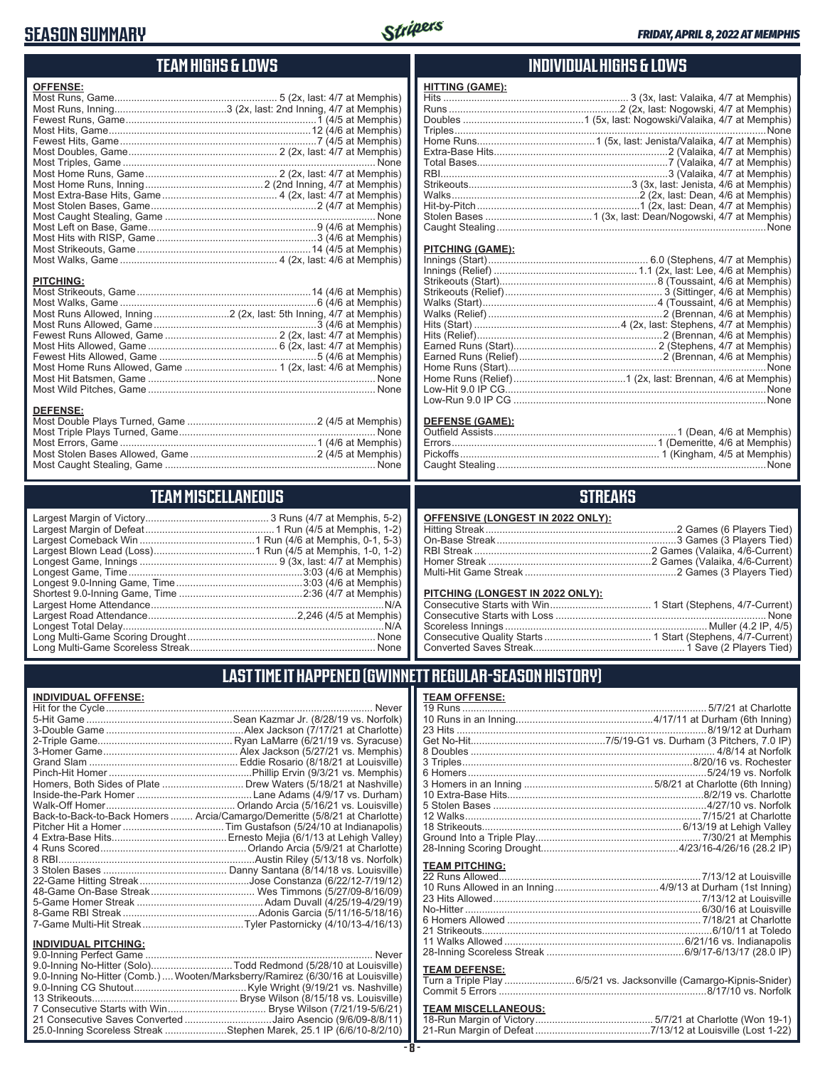## **SEASON SUMMARY**



## **TEAM HIGHS & LOWS**

| <b>OFFENSE:</b>                                                   |  |
|-------------------------------------------------------------------|--|
|                                                                   |  |
|                                                                   |  |
|                                                                   |  |
|                                                                   |  |
|                                                                   |  |
|                                                                   |  |
|                                                                   |  |
|                                                                   |  |
|                                                                   |  |
|                                                                   |  |
|                                                                   |  |
|                                                                   |  |
|                                                                   |  |
|                                                                   |  |
|                                                                   |  |
|                                                                   |  |
|                                                                   |  |
| <b>PITCHING:</b>                                                  |  |
|                                                                   |  |
|                                                                   |  |
| Most Runs Allowed, Inning2 (2x, last: 5th Inning, 4/7 at Memphis) |  |
|                                                                   |  |
|                                                                   |  |
|                                                                   |  |
|                                                                   |  |
|                                                                   |  |
|                                                                   |  |
|                                                                   |  |
|                                                                   |  |
| <b>BEERISE</b>                                                    |  |

### **DEFENSE:**

## **TEAM MISCELLANEOUS**

## **INDIVIDUAL HIGHS & LOWS**

### **HITTING (GAME):** Hits .................................................................. 3 (3x, last: Valaika, 4/7 at Memphis) Runs .............................................................2 (2x, last: Nogowski, 4/7 at Memphis) Doubles ...........................................1 (5x, last: Nogowski/Valaika, 4/7 at Memphis) Triples ...............................................................................................................None Home Runs..........................................1 (5x, last: Jenista/Valaika, 4/7 at Memphis) Extra-Base Hits..............................................................2 (Valaika, 4/7 at Memphis) Total Bases....................................................................7 (Valaika, 4/7 at Memphis) RBI.................................................................................3 (Valaika, 4/7 at Memphis) Strikeouts..........................................................3 (3x, last: Jenista, 4/6 at Memphis) Walks...................................................................2 (2x, last: Dean, 4/6 at Memphis) Hit-by-Pitch..........................................................1 (2x, last: Dean, 4/7 at Memphis) Stolen Bases ......................................1 (3x, last: Dean/Nogowski, 4/7 at Memphis) Caught Stealing ................................................................................................None

### **PITCHING (GAME):**

| None |
|------|
|      |
| None |
|      |
|      |

### **DEFENSE (GAME):**

## **STREAKS**

| <b>OFFENSIVE (LONGEST IN 2022 ONLY):</b> |  |
|------------------------------------------|--|
|                                          |  |
|                                          |  |
|                                          |  |
|                                          |  |
|                                          |  |

### **PITCHING (LONGEST IN 2022 ONLY):**

## **LAST TIME IT HAPPENED (GWINNETT REGULAR-SEASON HISTORY)**

### **INDIVIDUAL OFFENSE:**

|                             | Never                                                                      |
|-----------------------------|----------------------------------------------------------------------------|
|                             |                                                                            |
|                             |                                                                            |
|                             |                                                                            |
|                             |                                                                            |
|                             |                                                                            |
|                             |                                                                            |
|                             | Homers, Both Sides of Plate Drew Waters (5/18/21 at Nashville)             |
|                             |                                                                            |
|                             |                                                                            |
|                             | Back-to-Back-to-Back Homers  Arcia/Camargo/Demeritte (5/8/21 at Charlotte) |
|                             |                                                                            |
|                             |                                                                            |
|                             |                                                                            |
|                             |                                                                            |
|                             |                                                                            |
|                             |                                                                            |
|                             |                                                                            |
|                             |                                                                            |
|                             |                                                                            |
|                             |                                                                            |
| <b>INDIVIDUAL PITCHING:</b> |                                                                            |
|                             |                                                                            |

| 9.0-Inning No-Hitter (Comb.) Wooten/Marksberry/Ramirez (6/30/16 at Louisville) |  |
|--------------------------------------------------------------------------------|--|
|                                                                                |  |
|                                                                                |  |
|                                                                                |  |
| 21 Consecutive Saves Converted Jairo Asencio (9/6/09-8/8/11)                   |  |
| 25.0-Inning Scoreless Streak Stephen Marek, 25.1 IP (6/6/10-8/2/10)            |  |
|                                                                                |  |

| <b>TEAM OFFENSE:</b>  |  |
|-----------------------|--|
|                       |  |
|                       |  |
|                       |  |
|                       |  |
|                       |  |
|                       |  |
|                       |  |
|                       |  |
|                       |  |
|                       |  |
|                       |  |
|                       |  |
|                       |  |
|                       |  |
| <b>TEAM PITCHING:</b> |  |
|                       |  |
|                       |  |

| No-Hitter …………………………………………………………………………………6/30/16 at Louisville |  |
|----------------------------------------------------------------|--|
|                                                                |  |
|                                                                |  |
|                                                                |  |
|                                                                |  |
|                                                                |  |

### **TEAM DEFENSE:**

| Turn a Triple Play 6/5/21 vs. Jacksonville (Camargo-Kipnis-Snider) |
|--------------------------------------------------------------------|
|                                                                    |

## **TEAM MISCELLANEOUS:**<br>18-Run Margin of Victory....